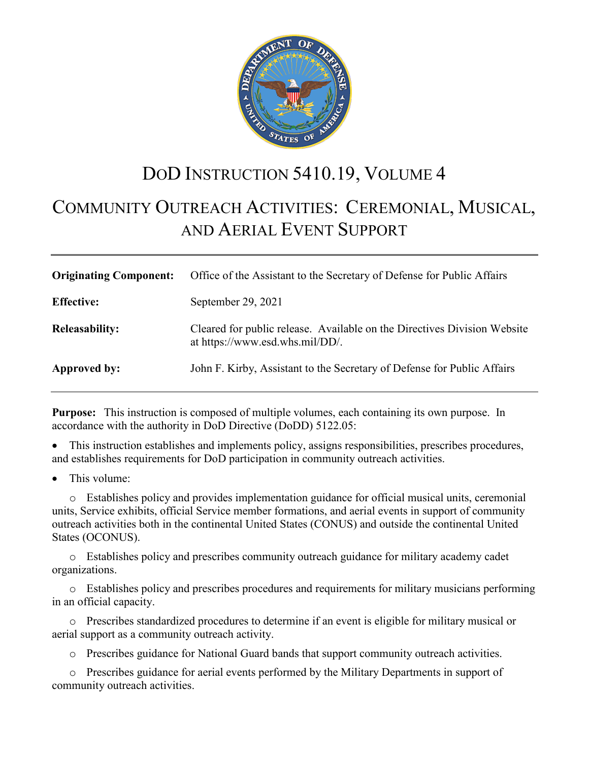

# DOD INSTRUCTION 5410.19, VOLUME 4

# COMMUNITY OUTREACH ACTIVITIES: CEREMONIAL, MUSICAL, AND AERIAL EVENT SUPPORT

| <b>Originating Component:</b> | Office of the Assistant to the Secretary of Defense for Public Affairs                                      |
|-------------------------------|-------------------------------------------------------------------------------------------------------------|
| <b>Effective:</b>             | September 29, 2021                                                                                          |
| <b>Releasability:</b>         | Cleared for public release. Available on the Directives Division Website<br>at https://www.esd.whs.mil/DD/. |
| Approved by:                  | John F. Kirby, Assistant to the Secretary of Defense for Public Affairs                                     |

**Purpose:** This instruction is composed of multiple volumes, each containing its own purpose. In accordance with the authority in DoD Directive (DoDD) 5122.05:

• This instruction establishes and implements policy, assigns responsibilities, prescribes procedures, and establishes requirements for DoD participation in community outreach activities.

This volume:

o Establishes policy and provides implementation guidance for official musical units, ceremonial units, Service exhibits, official Service member formations, and aerial events in support of community outreach activities both in the continental United States (CONUS) and outside the continental United States (OCONUS).

o Establishes policy and prescribes community outreach guidance for military academy cadet organizations.

o Establishes policy and prescribes procedures and requirements for military musicians performing in an official capacity.

o Prescribes standardized procedures to determine if an event is eligible for military musical or aerial support as a community outreach activity.

o Prescribes guidance for National Guard bands that support community outreach activities.

o Prescribes guidance for aerial events performed by the Military Departments in support of community outreach activities.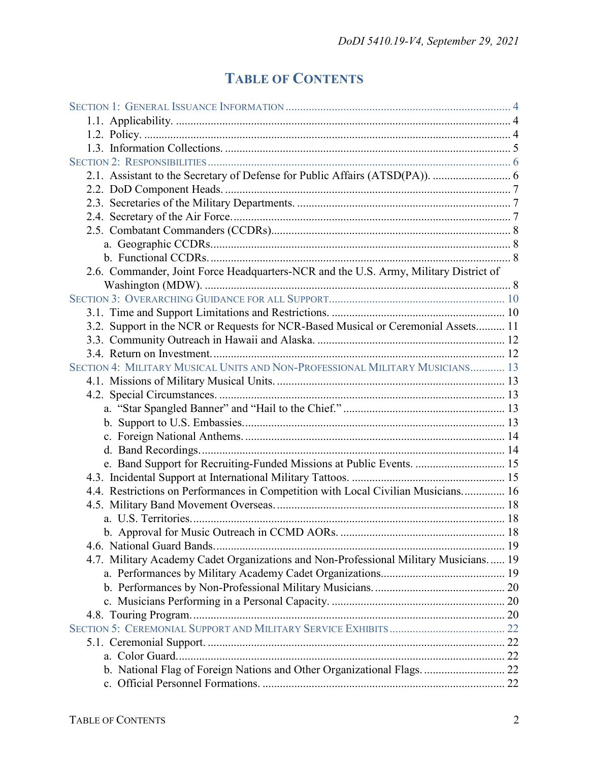# **TABLE OF CONTENTS**

| 2.6. Commander, Joint Force Headquarters-NCR and the U.S. Army, Military District of |  |
|--------------------------------------------------------------------------------------|--|
|                                                                                      |  |
|                                                                                      |  |
|                                                                                      |  |
| 3.2. Support in the NCR or Requests for NCR-Based Musical or Ceremonial Assets 11    |  |
|                                                                                      |  |
|                                                                                      |  |
| SECTION 4: MILITARY MUSICAL UNITS AND NON-PROFESSIONAL MILITARY MUSICIANS 13         |  |
|                                                                                      |  |
|                                                                                      |  |
|                                                                                      |  |
|                                                                                      |  |
|                                                                                      |  |
|                                                                                      |  |
| e. Band Support for Recruiting-Funded Missions at Public Events.  15                 |  |
|                                                                                      |  |
| 4.4. Restrictions on Performances in Competition with Local Civilian Musicians 16    |  |
|                                                                                      |  |
|                                                                                      |  |
|                                                                                      |  |
|                                                                                      |  |
| 4.7. Military Academy Cadet Organizations and Non-Professional Military Musicians 19 |  |
|                                                                                      |  |
|                                                                                      |  |
|                                                                                      |  |
|                                                                                      |  |
|                                                                                      |  |
|                                                                                      |  |
|                                                                                      |  |
| b. National Flag of Foreign Nations and Other Organizational Flags.  22              |  |
|                                                                                      |  |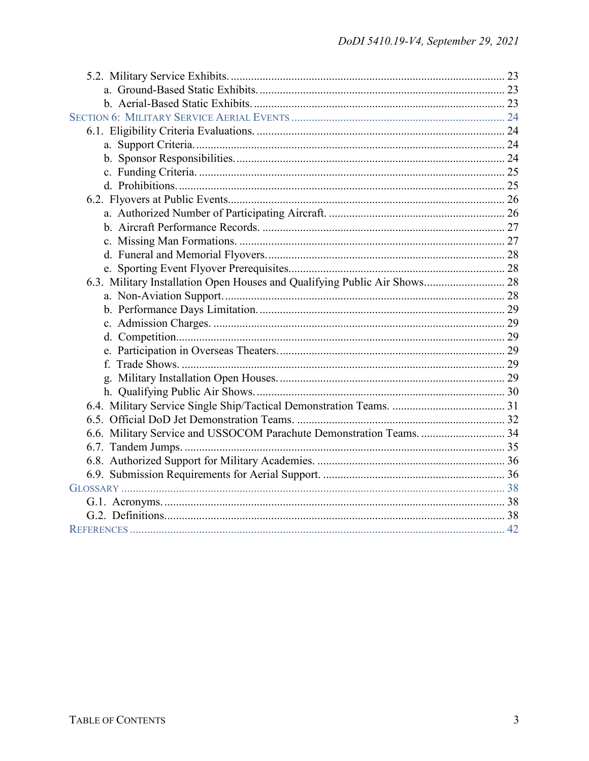| 6.3. Military Installation Open Houses and Qualifying Public Air Shows 28 |  |
|---------------------------------------------------------------------------|--|
|                                                                           |  |
|                                                                           |  |
|                                                                           |  |
|                                                                           |  |
|                                                                           |  |
|                                                                           |  |
|                                                                           |  |
|                                                                           |  |
|                                                                           |  |
|                                                                           |  |
| 6.6. Military Service and USSOCOM Parachute Demonstration Teams.  34      |  |
|                                                                           |  |
|                                                                           |  |
|                                                                           |  |
|                                                                           |  |
|                                                                           |  |
|                                                                           |  |
|                                                                           |  |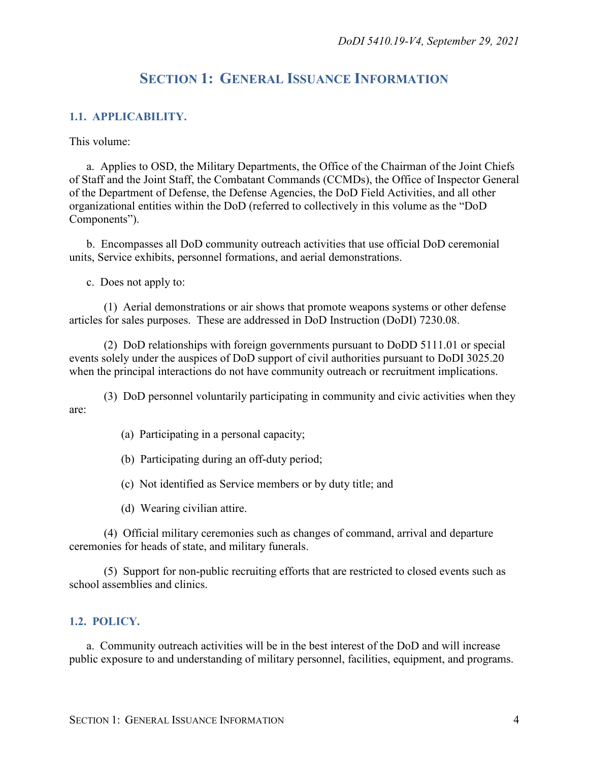### **SECTION 1: GENERAL ISSUANCE INFORMATION**

#### <span id="page-3-1"></span><span id="page-3-0"></span>**1.1. APPLICABILITY.**

This volume:

a. Applies to OSD, the Military Departments, the Office of the Chairman of the Joint Chiefs of Staff and the Joint Staff, the Combatant Commands (CCMDs), the Office of Inspector General of the Department of Defense, the Defense Agencies, the DoD Field Activities, and all other organizational entities within the DoD (referred to collectively in this volume as the "DoD Components").

b. Encompasses all DoD community outreach activities that use official DoD ceremonial units, Service exhibits, personnel formations, and aerial demonstrations.

c. Does not apply to:

(1) Aerial demonstrations or air shows that promote weapons systems or other defense articles for sales purposes. These are addressed in DoD Instruction (DoDI) 7230.08.

(2) DoD relationships with foreign governments pursuant to DoDD 5111.01 or special events solely under the auspices of DoD support of civil authorities pursuant to DoDI 3025.20 when the principal interactions do not have community outreach or recruitment implications.

(3) DoD personnel voluntarily participating in community and civic activities when they are:

(a) Participating in a personal capacity;

(b) Participating during an off-duty period;

(c) Not identified as Service members or by duty title; and

(d) Wearing civilian attire.

(4) Official military ceremonies such as changes of command, arrival and departure ceremonies for heads of state, and military funerals.

(5) Support for non-public recruiting efforts that are restricted to closed events such as school assemblies and clinics.

#### <span id="page-3-2"></span>**1.2. POLICY.**

a. Community outreach activities will be in the best interest of the DoD and will increase public exposure to and understanding of military personnel, facilities, equipment, and programs.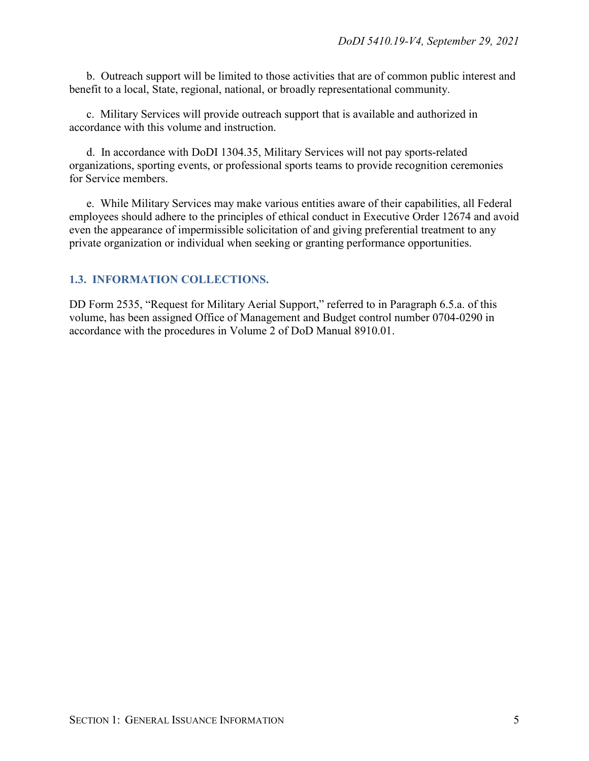b. Outreach support will be limited to those activities that are of common public interest and benefit to a local, State, regional, national, or broadly representational community.

c. Military Services will provide outreach support that is available and authorized in accordance with this volume and instruction.

d. In accordance with DoDI 1304.35, Military Services will not pay sports-related organizations, sporting events, or professional sports teams to provide recognition ceremonies for Service members.

e. While Military Services may make various entities aware of their capabilities, all Federal employees should adhere to the principles of ethical conduct in Executive Order 12674 and avoid even the appearance of impermissible solicitation of and giving preferential treatment to any private organization or individual when seeking or granting performance opportunities.

### <span id="page-4-0"></span>**1.3. INFORMATION COLLECTIONS.**

DD Form 2535, "Request for Military Aerial Support," referred to in Paragraph 6.5.a. of this volume, has been assigned Office of Management and Budget control number 0704-0290 in accordance with the procedures in Volume 2 of DoD Manual 8910.01.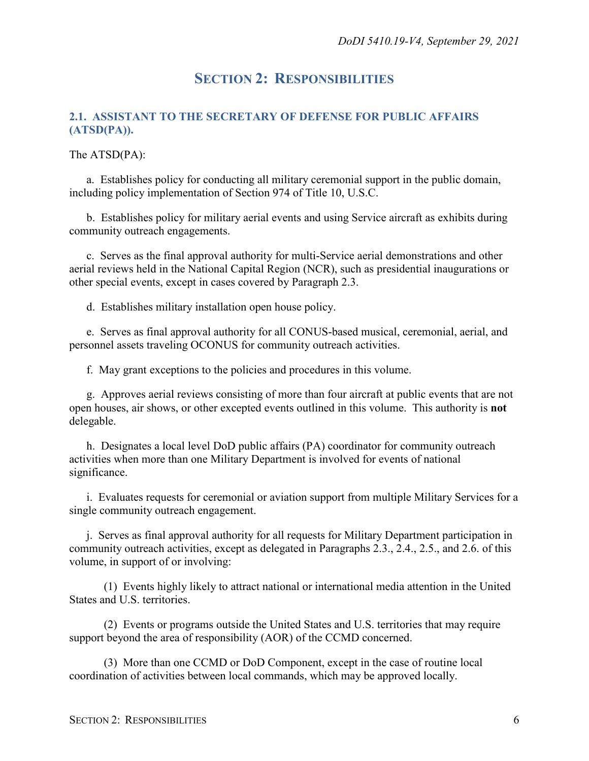### **SECTION 2: RESPONSIBILITIES**

### <span id="page-5-1"></span><span id="page-5-0"></span>**2.1. ASSISTANT TO THE SECRETARY OF DEFENSE FOR PUBLIC AFFAIRS (ATSD(PA)).**

The ATSD(PA):

a. Establishes policy for conducting all military ceremonial support in the public domain, including policy implementation of Section 974 of Title 10, U.S.C.

b. Establishes policy for military aerial events and using Service aircraft as exhibits during community outreach engagements.

c. Serves as the final approval authority for multi-Service aerial demonstrations and other aerial reviews held in the National Capital Region (NCR), such as presidential inaugurations or other special events, except in cases covered by Paragraph 2.3.

d. Establishes military installation open house policy.

e. Serves as final approval authority for all CONUS-based musical, ceremonial, aerial, and personnel assets traveling OCONUS for community outreach activities.

f. May grant exceptions to the policies and procedures in this volume.

g. Approves aerial reviews consisting of more than four aircraft at public events that are not open houses, air shows, or other excepted events outlined in this volume. This authority is **not** delegable.

h. Designates a local level DoD public affairs (PA) coordinator for community outreach activities when more than one Military Department is involved for events of national significance.

i. Evaluates requests for ceremonial or aviation support from multiple Military Services for a single community outreach engagement.

j. Serves as final approval authority for all requests for Military Department participation in community outreach activities, except as delegated in Paragraphs 2.3., 2.4., 2.5., and 2.6. of this volume, in support of or involving:

(1) Events highly likely to attract national or international media attention in the United States and U.S. territories.

(2) Events or programs outside the United States and U.S. territories that may require support beyond the area of responsibility (AOR) of the CCMD concerned.

(3) More than one CCMD or DoD Component, except in the case of routine local coordination of activities between local commands, which may be approved locally.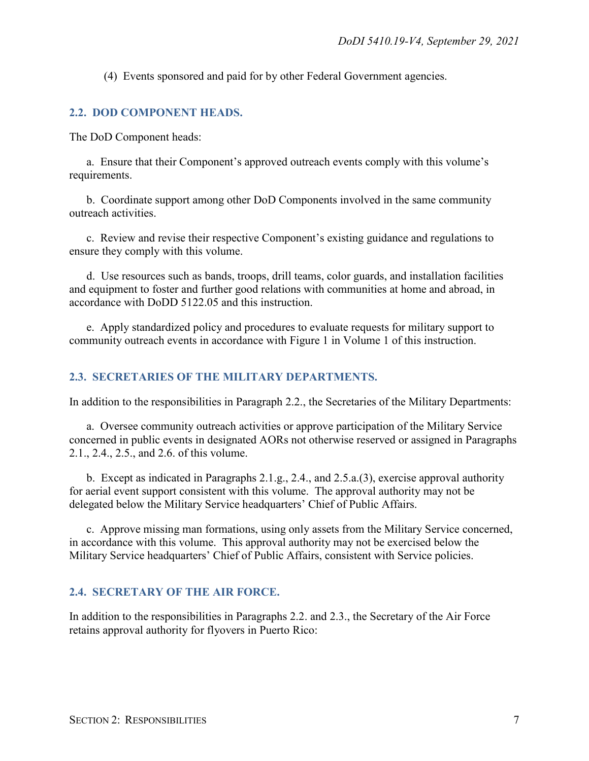(4) Events sponsored and paid for by other Federal Government agencies.

#### <span id="page-6-0"></span>**2.2. DOD COMPONENT HEADS.**

The DoD Component heads:

a. Ensure that their Component's approved outreach events comply with this volume's requirements.

b. Coordinate support among other DoD Components involved in the same community outreach activities.

c. Review and revise their respective Component's existing guidance and regulations to ensure they comply with this volume.

d. Use resources such as bands, troops, drill teams, color guards, and installation facilities and equipment to foster and further good relations with communities at home and abroad, in accordance with DoDD 5122.05 and this instruction.

e. Apply standardized policy and procedures to evaluate requests for military support to community outreach events in accordance with Figure 1 in Volume 1 of this instruction.

#### <span id="page-6-1"></span>**2.3. SECRETARIES OF THE MILITARY DEPARTMENTS.**

In addition to the responsibilities in Paragraph 2.2., the Secretaries of the Military Departments:

a. Oversee community outreach activities or approve participation of the Military Service concerned in public events in designated AORs not otherwise reserved or assigned in Paragraphs 2.1., 2.4., 2.5., and 2.6. of this volume.

b. Except as indicated in Paragraphs 2.1.g., 2.4., and 2.5.a.(3), exercise approval authority for aerial event support consistent with this volume. The approval authority may not be delegated below the Military Service headquarters' Chief of Public Affairs.

c. Approve missing man formations, using only assets from the Military Service concerned, in accordance with this volume. This approval authority may not be exercised below the Military Service headquarters' Chief of Public Affairs, consistent with Service policies.

#### <span id="page-6-2"></span>**2.4. SECRETARY OF THE AIR FORCE.**

In addition to the responsibilities in Paragraphs 2.2. and 2.3., the Secretary of the Air Force retains approval authority for flyovers in Puerto Rico: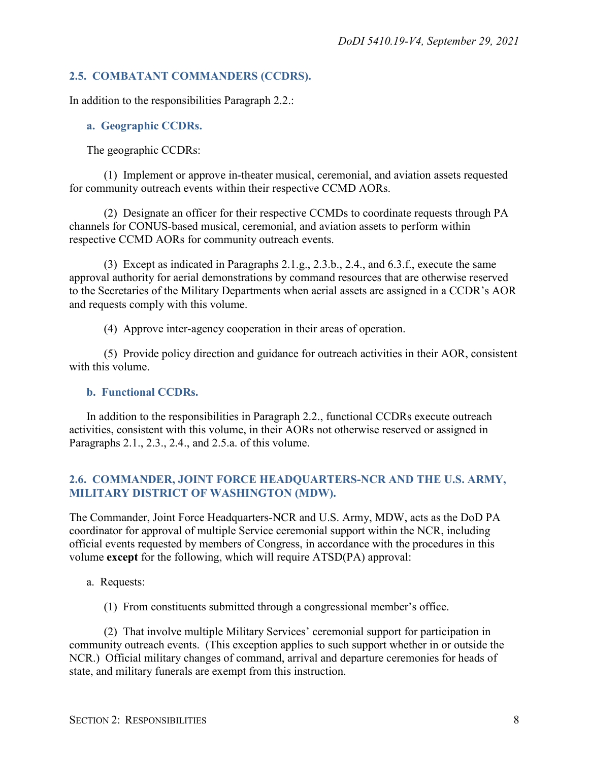#### <span id="page-7-0"></span>**2.5. COMBATANT COMMANDERS (CCDRS).**

In addition to the responsibilities Paragraph 2.2.:

#### <span id="page-7-1"></span>**a. Geographic CCDRs.**

The geographic CCDRs:

(1) Implement or approve in-theater musical, ceremonial, and aviation assets requested for community outreach events within their respective CCMD AORs.

(2) Designate an officer for their respective CCMDs to coordinate requests through PA channels for CONUS-based musical, ceremonial, and aviation assets to perform within respective CCMD AORs for community outreach events.

(3) Except as indicated in Paragraphs 2.1.g., 2.3.b., 2.4., and 6.3.f., execute the same approval authority for aerial demonstrations by command resources that are otherwise reserved to the Secretaries of the Military Departments when aerial assets are assigned in a CCDR's AOR and requests comply with this volume.

(4) Approve inter-agency cooperation in their areas of operation.

(5) Provide policy direction and guidance for outreach activities in their AOR, consistent with this volume.

#### <span id="page-7-2"></span>**b. Functional CCDRs.**

In addition to the responsibilities in Paragraph 2.2., functional CCDRs execute outreach activities, consistent with this volume, in their AORs not otherwise reserved or assigned in Paragraphs 2.1., 2.3., 2.4., and 2.5.a. of this volume.

#### <span id="page-7-3"></span>**2.6. COMMANDER, JOINT FORCE HEADQUARTERS-NCR AND THE U.S. ARMY, MILITARY DISTRICT OF WASHINGTON (MDW).**

The Commander, Joint Force Headquarters-NCR and U.S. Army, MDW, acts as the DoD PA coordinator for approval of multiple Service ceremonial support within the NCR, including official events requested by members of Congress, in accordance with the procedures in this volume **except** for the following, which will require ATSD(PA) approval:

- a. Requests:
	- (1) From constituents submitted through a congressional member's office.

(2) That involve multiple Military Services' ceremonial support for participation in community outreach events. (This exception applies to such support whether in or outside the NCR.) Official military changes of command, arrival and departure ceremonies for heads of state, and military funerals are exempt from this instruction.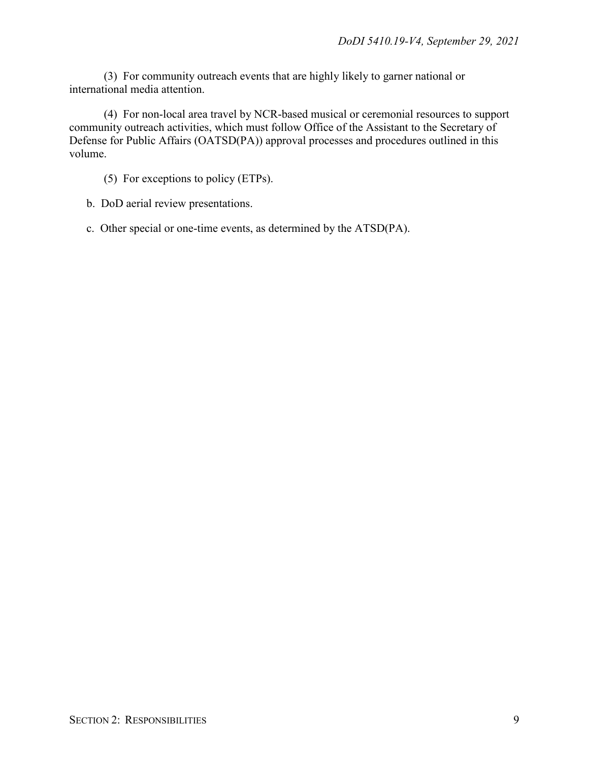(3) For community outreach events that are highly likely to garner national or international media attention.

(4) For non-local area travel by NCR-based musical or ceremonial resources to support community outreach activities, which must follow Office of the Assistant to the Secretary of Defense for Public Affairs (OATSD(PA)) approval processes and procedures outlined in this volume.

- (5) For exceptions to policy (ETPs).
- b. DoD aerial review presentations.
- c. Other special or one-time events, as determined by the ATSD(PA).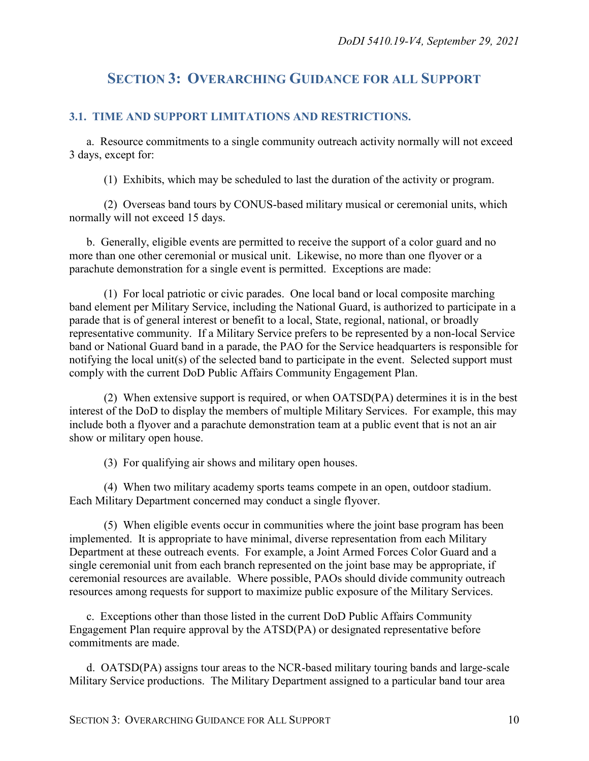### <span id="page-9-0"></span>**SECTION 3: OVERARCHING GUIDANCE FOR ALL SUPPORT**

#### <span id="page-9-1"></span>**3.1. TIME AND SUPPORT LIMITATIONS AND RESTRICTIONS.**

a. Resource commitments to a single community outreach activity normally will not exceed 3 days, except for:

(1) Exhibits, which may be scheduled to last the duration of the activity or program.

(2) Overseas band tours by CONUS-based military musical or ceremonial units, which normally will not exceed 15 days.

b. Generally, eligible events are permitted to receive the support of a color guard and no more than one other ceremonial or musical unit. Likewise, no more than one flyover or a parachute demonstration for a single event is permitted. Exceptions are made:

(1) For local patriotic or civic parades. One local band or local composite marching band element per Military Service, including the National Guard, is authorized to participate in a parade that is of general interest or benefit to a local, State, regional, national, or broadly representative community. If a Military Service prefers to be represented by a non-local Service band or National Guard band in a parade, the PAO for the Service headquarters is responsible for notifying the local unit(s) of the selected band to participate in the event. Selected support must comply with the current DoD Public Affairs Community Engagement Plan.

(2) When extensive support is required, or when OATSD(PA) determines it is in the best interest of the DoD to display the members of multiple Military Services. For example, this may include both a flyover and a parachute demonstration team at a public event that is not an air show or military open house.

(3) For qualifying air shows and military open houses.

(4) When two military academy sports teams compete in an open, outdoor stadium. Each Military Department concerned may conduct a single flyover.

(5) When eligible events occur in communities where the joint base program has been implemented. It is appropriate to have minimal, diverse representation from each Military Department at these outreach events. For example, a Joint Armed Forces Color Guard and a single ceremonial unit from each branch represented on the joint base may be appropriate, if ceremonial resources are available. Where possible, PAOs should divide community outreach resources among requests for support to maximize public exposure of the Military Services.

c. Exceptions other than those listed in the current DoD Public Affairs Community Engagement Plan require approval by the ATSD(PA) or designated representative before commitments are made.

d. OATSD(PA) assigns tour areas to the NCR-based military touring bands and large-scale Military Service productions. The Military Department assigned to a particular band tour area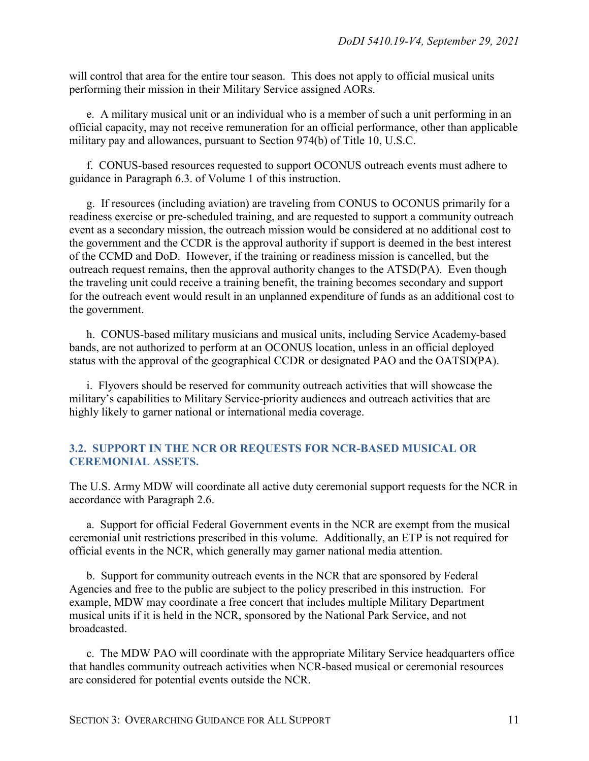will control that area for the entire tour season. This does not apply to official musical units performing their mission in their Military Service assigned AORs.

e. A military musical unit or an individual who is a member of such a unit performing in an official capacity, may not receive remuneration for an official performance, other than applicable military pay and allowances, pursuant to Section 974(b) of Title 10, U.S.C.

f. CONUS-based resources requested to support OCONUS outreach events must adhere to guidance in Paragraph 6.3. of Volume 1 of this instruction.

g. If resources (including aviation) are traveling from CONUS to OCONUS primarily for a readiness exercise or pre-scheduled training, and are requested to support a community outreach event as a secondary mission, the outreach mission would be considered at no additional cost to the government and the CCDR is the approval authority if support is deemed in the best interest of the CCMD and DoD. However, if the training or readiness mission is cancelled, but the outreach request remains, then the approval authority changes to the ATSD(PA). Even though the traveling unit could receive a training benefit, the training becomes secondary and support for the outreach event would result in an unplanned expenditure of funds as an additional cost to the government.

h. CONUS-based military musicians and musical units, including Service Academy-based bands, are not authorized to perform at an OCONUS location, unless in an official deployed status with the approval of the geographical CCDR or designated PAO and the OATSD(PA).

i. Flyovers should be reserved for community outreach activities that will showcase the military's capabilities to Military Service-priority audiences and outreach activities that are highly likely to garner national or international media coverage.

#### <span id="page-10-0"></span>**3.2. SUPPORT IN THE NCR OR REQUESTS FOR NCR-BASED MUSICAL OR CEREMONIAL ASSETS.**

The U.S. Army MDW will coordinate all active duty ceremonial support requests for the NCR in accordance with Paragraph 2.6.

a. Support for official Federal Government events in the NCR are exempt from the musical ceremonial unit restrictions prescribed in this volume. Additionally, an ETP is not required for official events in the NCR, which generally may garner national media attention.

b. Support for community outreach events in the NCR that are sponsored by Federal Agencies and free to the public are subject to the policy prescribed in this instruction. For example, MDW may coordinate a free concert that includes multiple Military Department musical units if it is held in the NCR, sponsored by the National Park Service, and not broadcasted.

c. The MDW PAO will coordinate with the appropriate Military Service headquarters office that handles community outreach activities when NCR-based musical or ceremonial resources are considered for potential events outside the NCR.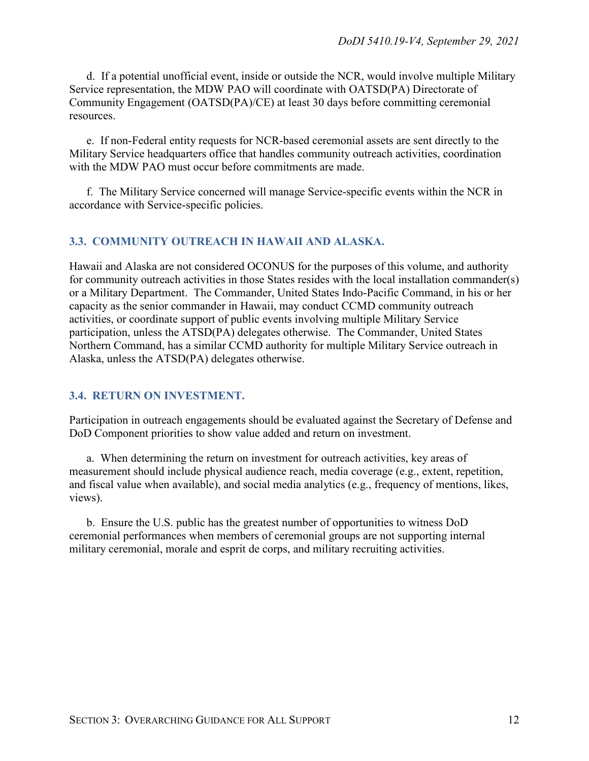d. If a potential unofficial event, inside or outside the NCR, would involve multiple Military Service representation, the MDW PAO will coordinate with OATSD(PA) Directorate of Community Engagement (OATSD(PA)/CE) at least 30 days before committing ceremonial resources.

e. If non-Federal entity requests for NCR-based ceremonial assets are sent directly to the Military Service headquarters office that handles community outreach activities, coordination with the MDW PAO must occur before commitments are made.

f. The Military Service concerned will manage Service-specific events within the NCR in accordance with Service-specific policies.

#### <span id="page-11-0"></span>**3.3. COMMUNITY OUTREACH IN HAWAII AND ALASKA.**

Hawaii and Alaska are not considered OCONUS for the purposes of this volume, and authority for community outreach activities in those States resides with the local installation commander(s) or a Military Department. The Commander, United States Indo-Pacific Command, in his or her capacity as the senior commander in Hawaii, may conduct CCMD community outreach activities, or coordinate support of public events involving multiple Military Service participation, unless the ATSD(PA) delegates otherwise. The Commander, United States Northern Command, has a similar CCMD authority for multiple Military Service outreach in Alaska, unless the ATSD(PA) delegates otherwise.

#### <span id="page-11-1"></span>**3.4. RETURN ON INVESTMENT.**

Participation in outreach engagements should be evaluated against the Secretary of Defense and DoD Component priorities to show value added and return on investment.

a. When determining the return on investment for outreach activities, key areas of measurement should include physical audience reach, media coverage (e.g., extent, repetition, and fiscal value when available), and social media analytics (e.g., frequency of mentions, likes, views).

b. Ensure the U.S. public has the greatest number of opportunities to witness DoD ceremonial performances when members of ceremonial groups are not supporting internal military ceremonial, morale and esprit de corps, and military recruiting activities.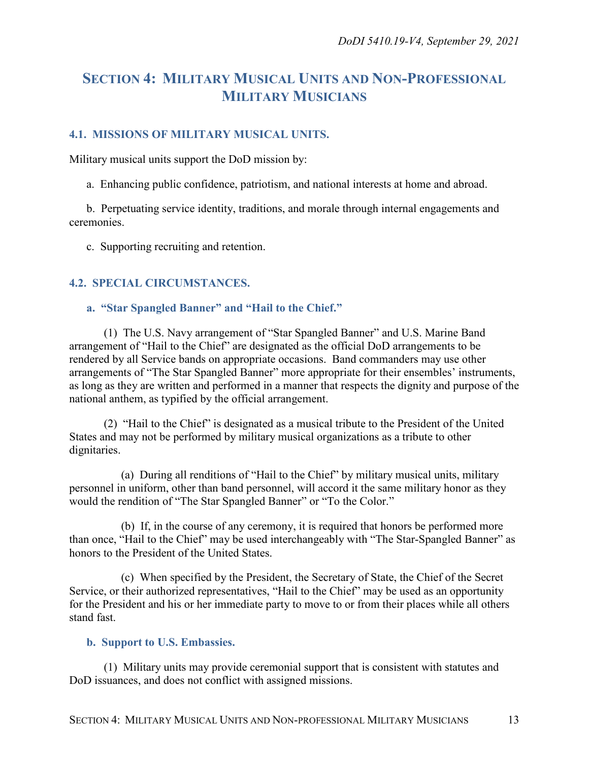## <span id="page-12-0"></span>**SECTION 4: MILITARY MUSICAL UNITS AND NON-PROFESSIONAL MILITARY MUSICIANS**

#### <span id="page-12-1"></span>**4.1. MISSIONS OF MILITARY MUSICAL UNITS.**

Military musical units support the DoD mission by:

a. Enhancing public confidence, patriotism, and national interests at home and abroad.

b. Perpetuating service identity, traditions, and morale through internal engagements and ceremonies.

c. Supporting recruiting and retention.

#### <span id="page-12-2"></span>**4.2. SPECIAL CIRCUMSTANCES.**

#### <span id="page-12-3"></span>**a. "Star Spangled Banner" and "Hail to the Chief."**

(1) The U.S. Navy arrangement of "Star Spangled Banner" and U.S. Marine Band arrangement of "Hail to the Chief" are designated as the official DoD arrangements to be rendered by all Service bands on appropriate occasions. Band commanders may use other arrangements of "The Star Spangled Banner" more appropriate for their ensembles' instruments, as long as they are written and performed in a manner that respects the dignity and purpose of the national anthem, as typified by the official arrangement.

(2) "Hail to the Chief" is designated as a musical tribute to the President of the United States and may not be performed by military musical organizations as a tribute to other dignitaries.

(a) During all renditions of "Hail to the Chief" by military musical units, military personnel in uniform, other than band personnel, will accord it the same military honor as they would the rendition of "The Star Spangled Banner" or "To the Color."

(b) If, in the course of any ceremony, it is required that honors be performed more than once, "Hail to the Chief" may be used interchangeably with "The Star-Spangled Banner" as honors to the President of the United States.

(c) When specified by the President, the Secretary of State, the Chief of the Secret Service, or their authorized representatives, "Hail to the Chief" may be used as an opportunity for the President and his or her immediate party to move to or from their places while all others stand fast.

#### <span id="page-12-4"></span>**b. Support to U.S. Embassies.**

(1) Military units may provide ceremonial support that is consistent with statutes and DoD issuances, and does not conflict with assigned missions.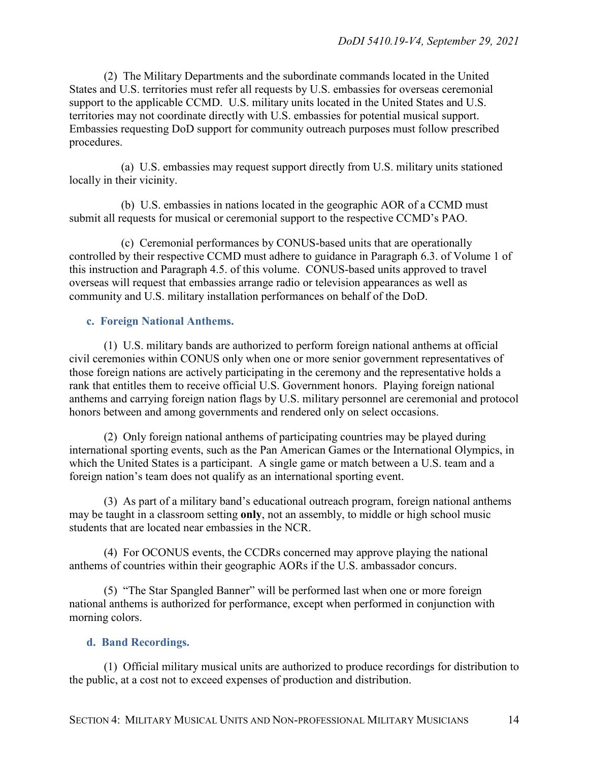(2) The Military Departments and the subordinate commands located in the United States and U.S. territories must refer all requests by U.S. embassies for overseas ceremonial support to the applicable CCMD. U.S. military units located in the United States and U.S. territories may not coordinate directly with U.S. embassies for potential musical support. Embassies requesting DoD support for community outreach purposes must follow prescribed procedures.

(a) U.S. embassies may request support directly from U.S. military units stationed locally in their vicinity.

(b) U.S. embassies in nations located in the geographic AOR of a CCMD must submit all requests for musical or ceremonial support to the respective CCMD's PAO.

(c) Ceremonial performances by CONUS-based units that are operationally controlled by their respective CCMD must adhere to guidance in Paragraph 6.3. of Volume 1 of this instruction and Paragraph 4.5. of this volume. CONUS-based units approved to travel overseas will request that embassies arrange radio or television appearances as well as community and U.S. military installation performances on behalf of the DoD.

#### <span id="page-13-0"></span>**c. Foreign National Anthems.**

(1) U.S. military bands are authorized to perform foreign national anthems at official civil ceremonies within CONUS only when one or more senior government representatives of those foreign nations are actively participating in the ceremony and the representative holds a rank that entitles them to receive official U.S. Government honors. Playing foreign national anthems and carrying foreign nation flags by U.S. military personnel are ceremonial and protocol honors between and among governments and rendered only on select occasions.

(2) Only foreign national anthems of participating countries may be played during international sporting events, such as the Pan American Games or the International Olympics, in which the United States is a participant. A single game or match between a U.S. team and a foreign nation's team does not qualify as an international sporting event.

(3) As part of a military band's educational outreach program, foreign national anthems may be taught in a classroom setting **only**, not an assembly, to middle or high school music students that are located near embassies in the NCR.

(4) For OCONUS events, the CCDRs concerned may approve playing the national anthems of countries within their geographic AORs if the U.S. ambassador concurs.

(5) "The Star Spangled Banner" will be performed last when one or more foreign national anthems is authorized for performance, except when performed in conjunction with morning colors.

#### <span id="page-13-1"></span>**d. Band Recordings.**

(1) Official military musical units are authorized to produce recordings for distribution to the public, at a cost not to exceed expenses of production and distribution.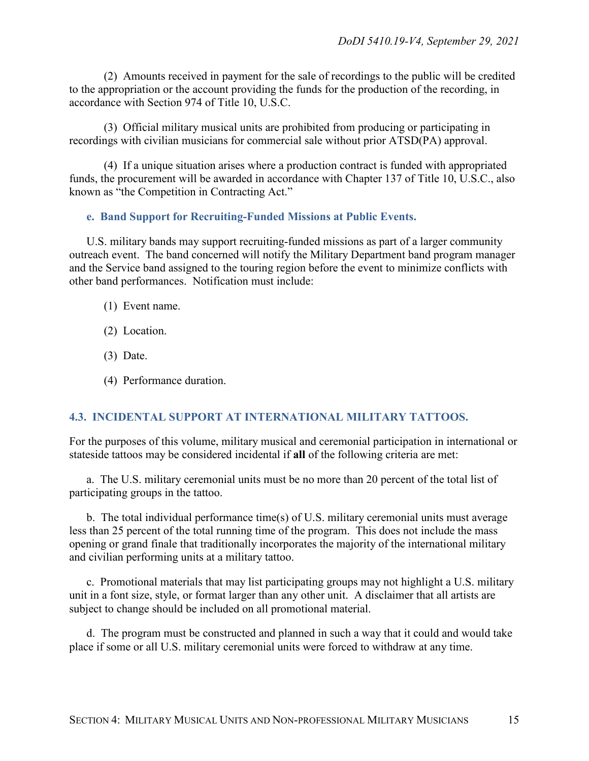(2) Amounts received in payment for the sale of recordings to the public will be credited to the appropriation or the account providing the funds for the production of the recording, in accordance with Section 974 of Title 10, U.S.C.

(3) Official military musical units are prohibited from producing or participating in recordings with civilian musicians for commercial sale without prior ATSD(PA) approval.

(4) If a unique situation arises where a production contract is funded with appropriated funds, the procurement will be awarded in accordance with Chapter 137 of Title 10, U.S.C., also known as "the Competition in Contracting Act."

#### <span id="page-14-0"></span>**e. Band Support for Recruiting-Funded Missions at Public Events.**

U.S. military bands may support recruiting-funded missions as part of a larger community outreach event. The band concerned will notify the Military Department band program manager and the Service band assigned to the touring region before the event to minimize conflicts with other band performances. Notification must include:

- (1) Event name.
- (2) Location.
- (3) Date.
- (4) Performance duration.

#### <span id="page-14-1"></span>**4.3. INCIDENTAL SUPPORT AT INTERNATIONAL MILITARY TATTOOS.**

For the purposes of this volume, military musical and ceremonial participation in international or stateside tattoos may be considered incidental if **all** of the following criteria are met:

a. The U.S. military ceremonial units must be no more than 20 percent of the total list of participating groups in the tattoo.

b. The total individual performance time(s) of U.S. military ceremonial units must average less than 25 percent of the total running time of the program. This does not include the mass opening or grand finale that traditionally incorporates the majority of the international military and civilian performing units at a military tattoo.

c. Promotional materials that may list participating groups may not highlight a U.S. military unit in a font size, style, or format larger than any other unit. A disclaimer that all artists are subject to change should be included on all promotional material.

d. The program must be constructed and planned in such a way that it could and would take place if some or all U.S. military ceremonial units were forced to withdraw at any time.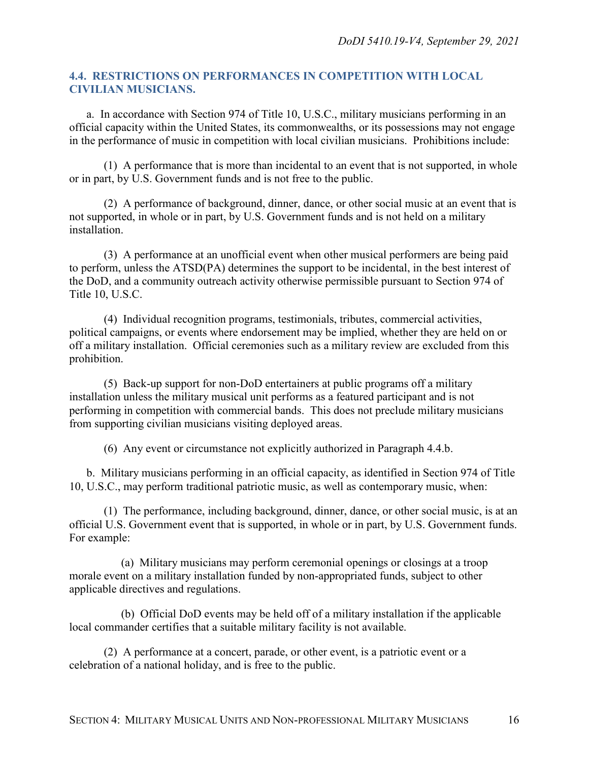#### <span id="page-15-0"></span>**4.4. RESTRICTIONS ON PERFORMANCES IN COMPETITION WITH LOCAL CIVILIAN MUSICIANS.**

a. In accordance with Section 974 of Title 10, U.S.C., military musicians performing in an official capacity within the United States, its commonwealths, or its possessions may not engage in the performance of music in competition with local civilian musicians. Prohibitions include:

(1) A performance that is more than incidental to an event that is not supported, in whole or in part, by U.S. Government funds and is not free to the public.

(2) A performance of background, dinner, dance, or other social music at an event that is not supported, in whole or in part, by U.S. Government funds and is not held on a military installation.

(3) A performance at an unofficial event when other musical performers are being paid to perform, unless the ATSD(PA) determines the support to be incidental, in the best interest of the DoD, and a community outreach activity otherwise permissible pursuant to Section 974 of Title 10, U.S.C.

(4) Individual recognition programs, testimonials, tributes, commercial activities, political campaigns, or events where endorsement may be implied, whether they are held on or off a military installation. Official ceremonies such as a military review are excluded from this prohibition.

(5) Back-up support for non-DoD entertainers at public programs off a military installation unless the military musical unit performs as a featured participant and is not performing in competition with commercial bands. This does not preclude military musicians from supporting civilian musicians visiting deployed areas.

(6) Any event or circumstance not explicitly authorized in Paragraph 4.4.b.

b. Military musicians performing in an official capacity, as identified in Section 974 of Title 10, U.S.C., may perform traditional patriotic music, as well as contemporary music, when:

(1) The performance, including background, dinner, dance, or other social music, is at an official U.S. Government event that is supported, in whole or in part, by U.S. Government funds. For example:

(a) Military musicians may perform ceremonial openings or closings at a troop morale event on a military installation funded by non-appropriated funds, subject to other applicable directives and regulations.

(b) Official DoD events may be held off of a military installation if the applicable local commander certifies that a suitable military facility is not available.

(2) A performance at a concert, parade, or other event, is a patriotic event or a celebration of a national holiday, and is free to the public.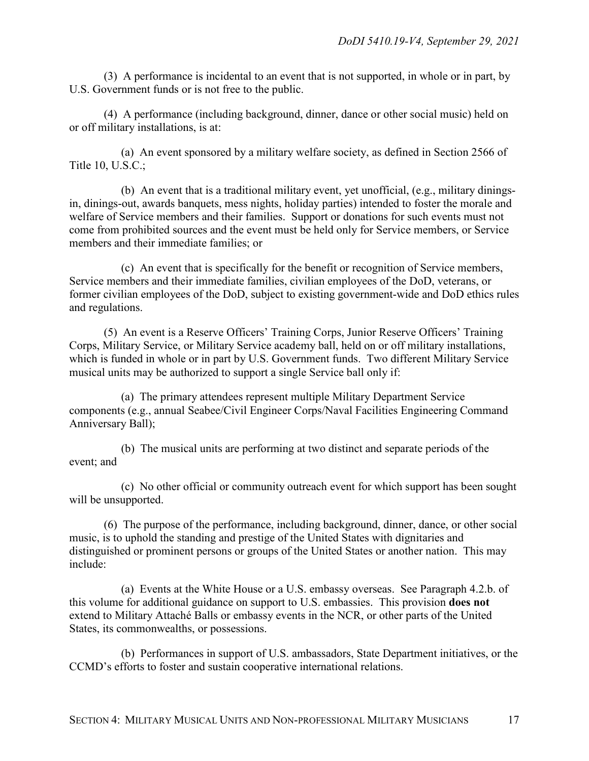(3) A performance is incidental to an event that is not supported, in whole or in part, by U.S. Government funds or is not free to the public.

(4) A performance (including background, dinner, dance or other social music) held on or off military installations, is at:

(a) An event sponsored by a military welfare society, as defined in Section 2566 of Title 10, U.S.C.;

(b) An event that is a traditional military event, yet unofficial, (e.g., military diningsin, dinings-out, awards banquets, mess nights, holiday parties) intended to foster the morale and welfare of Service members and their families. Support or donations for such events must not come from prohibited sources and the event must be held only for Service members, or Service members and their immediate families; or

(c) An event that is specifically for the benefit or recognition of Service members, Service members and their immediate families, civilian employees of the DoD, veterans, or former civilian employees of the DoD, subject to existing government-wide and DoD ethics rules and regulations.

(5) An event is a Reserve Officers' Training Corps, Junior Reserve Officers' Training Corps, Military Service, or Military Service academy ball, held on or off military installations, which is funded in whole or in part by U.S. Government funds. Two different Military Service musical units may be authorized to support a single Service ball only if:

(a) The primary attendees represent multiple Military Department Service components (e.g., annual Seabee/Civil Engineer Corps/Naval Facilities Engineering Command Anniversary Ball);

(b) The musical units are performing at two distinct and separate periods of the event; and

(c) No other official or community outreach event for which support has been sought will be unsupported.

(6) The purpose of the performance, including background, dinner, dance, or other social music, is to uphold the standing and prestige of the United States with dignitaries and distinguished or prominent persons or groups of the United States or another nation. This may include:

(a) Events at the White House or a U.S. embassy overseas. See Paragraph 4.2.b. of this volume for additional guidance on support to U.S. embassies. This provision **does not** extend to Military Attaché Balls or embassy events in the NCR, or other parts of the United States, its commonwealths, or possessions.

(b) Performances in support of U.S. ambassadors, State Department initiatives, or the CCMD's efforts to foster and sustain cooperative international relations.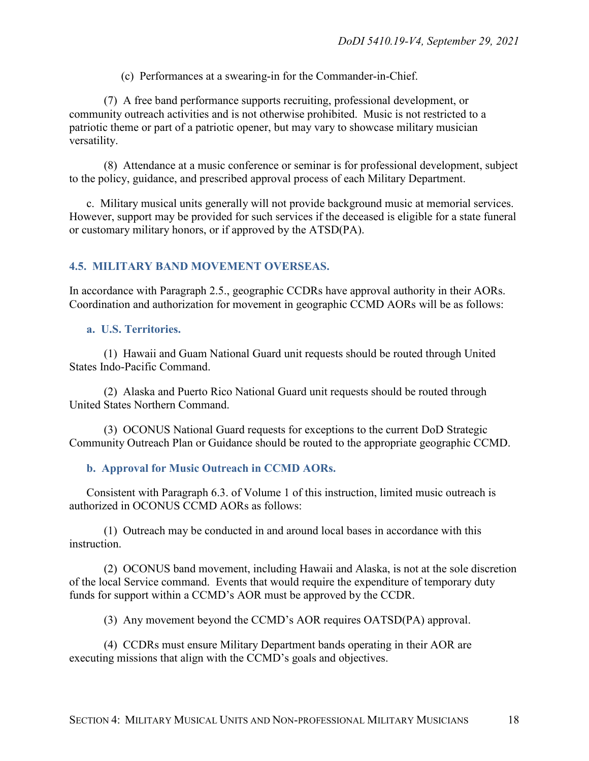(c) Performances at a swearing-in for the Commander-in-Chief.

(7) A free band performance supports recruiting, professional development, or community outreach activities and is not otherwise prohibited. Music is not restricted to a patriotic theme or part of a patriotic opener, but may vary to showcase military musician versatility.

(8) Attendance at a music conference or seminar is for professional development, subject to the policy, guidance, and prescribed approval process of each Military Department.

c. Military musical units generally will not provide background music at memorial services. However, support may be provided for such services if the deceased is eligible for a state funeral or customary military honors, or if approved by the ATSD(PA).

#### <span id="page-17-0"></span>**4.5. MILITARY BAND MOVEMENT OVERSEAS.**

In accordance with Paragraph 2.5., geographic CCDRs have approval authority in their AORs. Coordination and authorization for movement in geographic CCMD AORs will be as follows:

#### <span id="page-17-1"></span>**a. U.S. Territories.**

(1) Hawaii and Guam National Guard unit requests should be routed through United States Indo-Pacific Command.

(2) Alaska and Puerto Rico National Guard unit requests should be routed through United States Northern Command.

(3) OCONUS National Guard requests for exceptions to the current DoD Strategic Community Outreach Plan or Guidance should be routed to the appropriate geographic CCMD.

#### <span id="page-17-2"></span>**b. Approval for Music Outreach in CCMD AORs.**

Consistent with Paragraph 6.3. of Volume 1 of this instruction, limited music outreach is authorized in OCONUS CCMD AORs as follows:

(1) Outreach may be conducted in and around local bases in accordance with this instruction.

(2) OCONUS band movement, including Hawaii and Alaska, is not at the sole discretion of the local Service command. Events that would require the expenditure of temporary duty funds for support within a CCMD's AOR must be approved by the CCDR.

(3) Any movement beyond the CCMD's AOR requires OATSD(PA) approval.

(4) CCDRs must ensure Military Department bands operating in their AOR are executing missions that align with the CCMD's goals and objectives.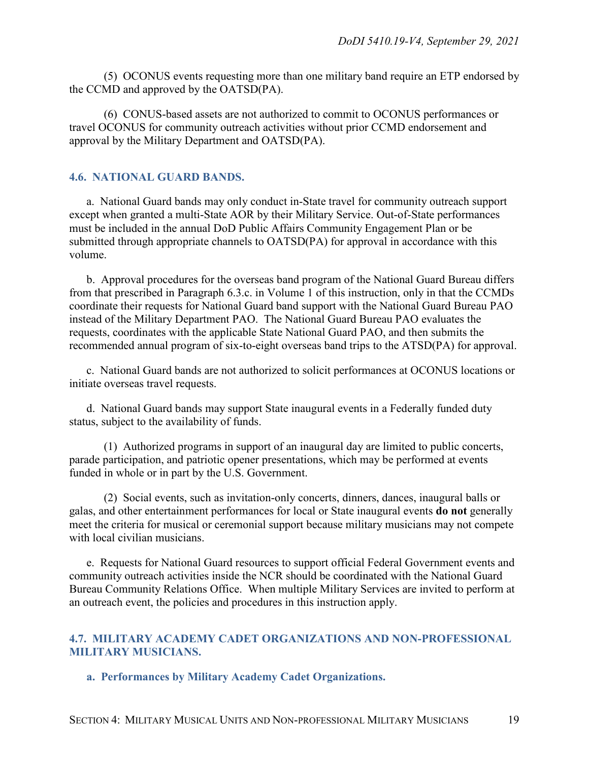(5) OCONUS events requesting more than one military band require an ETP endorsed by the CCMD and approved by the OATSD(PA).

(6) CONUS-based assets are not authorized to commit to OCONUS performances or travel OCONUS for community outreach activities without prior CCMD endorsement and approval by the Military Department and OATSD(PA).

#### <span id="page-18-0"></span>**4.6. NATIONAL GUARD BANDS.**

a. National Guard bands may only conduct in-State travel for community outreach support except when granted a multi-State AOR by their Military Service. Out-of-State performances must be included in the annual DoD Public Affairs Community Engagement Plan or be submitted through appropriate channels to OATSD(PA) for approval in accordance with this volume.

b. Approval procedures for the overseas band program of the National Guard Bureau differs from that prescribed in Paragraph 6.3.c. in Volume 1 of this instruction, only in that the CCMDs coordinate their requests for National Guard band support with the National Guard Bureau PAO instead of the Military Department PAO. The National Guard Bureau PAO evaluates the requests, coordinates with the applicable State National Guard PAO, and then submits the recommended annual program of six-to-eight overseas band trips to the ATSD(PA) for approval.

c. National Guard bands are not authorized to solicit performances at OCONUS locations or initiate overseas travel requests.

d. National Guard bands may support State inaugural events in a Federally funded duty status, subject to the availability of funds.

(1) Authorized programs in support of an inaugural day are limited to public concerts, parade participation, and patriotic opener presentations, which may be performed at events funded in whole or in part by the U.S. Government.

(2) Social events, such as invitation-only concerts, dinners, dances, inaugural balls or galas, and other entertainment performances for local or State inaugural events **do not** generally meet the criteria for musical or ceremonial support because military musicians may not compete with local civilian musicians.

e. Requests for National Guard resources to support official Federal Government events and community outreach activities inside the NCR should be coordinated with the National Guard Bureau Community Relations Office. When multiple Military Services are invited to perform at an outreach event, the policies and procedures in this instruction apply.

#### <span id="page-18-1"></span>**4.7. MILITARY ACADEMY CADET ORGANIZATIONS AND NON-PROFESSIONAL MILITARY MUSICIANS.**

<span id="page-18-2"></span>**a. Performances by Military Academy Cadet Organizations.**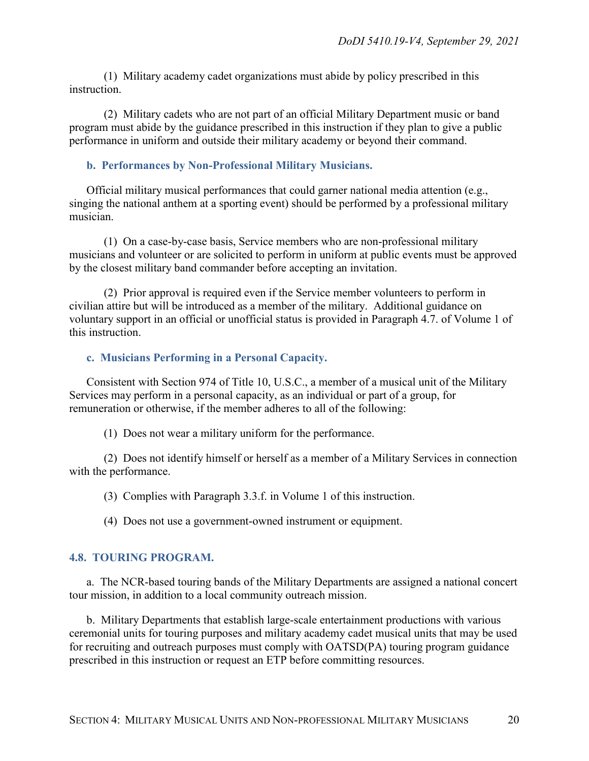(1) Military academy cadet organizations must abide by policy prescribed in this instruction.

(2) Military cadets who are not part of an official Military Department music or band program must abide by the guidance prescribed in this instruction if they plan to give a public performance in uniform and outside their military academy or beyond their command.

#### <span id="page-19-0"></span>**b. Performances by Non-Professional Military Musicians.**

Official military musical performances that could garner national media attention (e.g., singing the national anthem at a sporting event) should be performed by a professional military musician.

(1) On a case-by-case basis, Service members who are non-professional military musicians and volunteer or are solicited to perform in uniform at public events must be approved by the closest military band commander before accepting an invitation.

(2) Prior approval is required even if the Service member volunteers to perform in civilian attire but will be introduced as a member of the military. Additional guidance on voluntary support in an official or unofficial status is provided in Paragraph 4.7. of Volume 1 of this instruction.

#### <span id="page-19-1"></span>**c. Musicians Performing in a Personal Capacity.**

Consistent with Section 974 of Title 10, U.S.C., a member of a musical unit of the Military Services may perform in a personal capacity, as an individual or part of a group, for remuneration or otherwise, if the member adheres to all of the following:

(1) Does not wear a military uniform for the performance.

(2) Does not identify himself or herself as a member of a Military Services in connection with the performance.

(3) Complies with Paragraph 3.3.f. in Volume 1 of this instruction.

(4) Does not use a government-owned instrument or equipment.

#### <span id="page-19-2"></span>**4.8. TOURING PROGRAM.**

a. The NCR-based touring bands of the Military Departments are assigned a national concert tour mission, in addition to a local community outreach mission.

b. Military Departments that establish large-scale entertainment productions with various ceremonial units for touring purposes and military academy cadet musical units that may be used for recruiting and outreach purposes must comply with OATSD(PA) touring program guidance prescribed in this instruction or request an ETP before committing resources.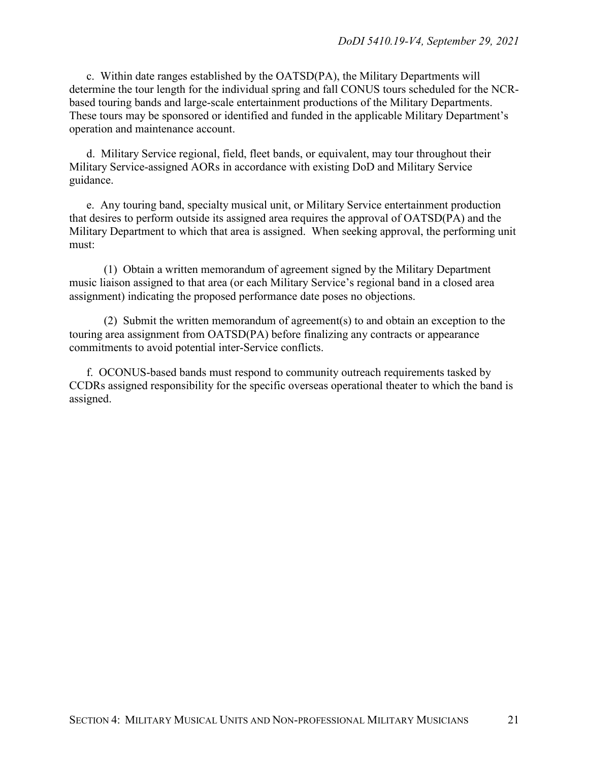c. Within date ranges established by the OATSD(PA), the Military Departments will determine the tour length for the individual spring and fall CONUS tours scheduled for the NCRbased touring bands and large-scale entertainment productions of the Military Departments. These tours may be sponsored or identified and funded in the applicable Military Department's operation and maintenance account.

d. Military Service regional, field, fleet bands, or equivalent, may tour throughout their Military Service-assigned AORs in accordance with existing DoD and Military Service guidance.

e. Any touring band, specialty musical unit, or Military Service entertainment production that desires to perform outside its assigned area requires the approval of OATSD(PA) and the Military Department to which that area is assigned. When seeking approval, the performing unit must:

(1) Obtain a written memorandum of agreement signed by the Military Department music liaison assigned to that area (or each Military Service's regional band in a closed area assignment) indicating the proposed performance date poses no objections.

(2) Submit the written memorandum of agreement(s) to and obtain an exception to the touring area assignment from OATSD(PA) before finalizing any contracts or appearance commitments to avoid potential inter-Service conflicts.

f. OCONUS-based bands must respond to community outreach requirements tasked by CCDRs assigned responsibility for the specific overseas operational theater to which the band is assigned.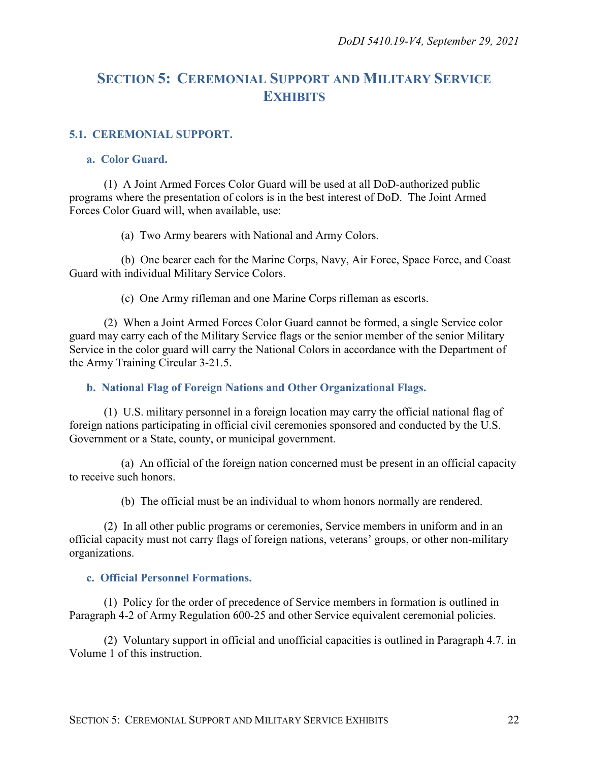## <span id="page-21-0"></span>**SECTION 5: CEREMONIAL SUPPORT AND MILITARY SERVICE EXHIBITS**

#### <span id="page-21-1"></span>**5.1. CEREMONIAL SUPPORT.**

#### <span id="page-21-2"></span>**a. Color Guard.**

(1) A Joint Armed Forces Color Guard will be used at all DoD-authorized public programs where the presentation of colors is in the best interest of DoD. The Joint Armed Forces Color Guard will, when available, use:

(a) Two Army bearers with National and Army Colors.

(b) One bearer each for the Marine Corps, Navy, Air Force, Space Force, and Coast Guard with individual Military Service Colors.

(c) One Army rifleman and one Marine Corps rifleman as escorts.

(2) When a Joint Armed Forces Color Guard cannot be formed, a single Service color guard may carry each of the Military Service flags or the senior member of the senior Military Service in the color guard will carry the National Colors in accordance with the Department of the Army Training Circular 3-21.5.

#### <span id="page-21-3"></span>**b. National Flag of Foreign Nations and Other Organizational Flags.**

(1) U.S. military personnel in a foreign location may carry the official national flag of foreign nations participating in official civil ceremonies sponsored and conducted by the U.S. Government or a State, county, or municipal government.

(a) An official of the foreign nation concerned must be present in an official capacity to receive such honors.

(b) The official must be an individual to whom honors normally are rendered.

(2) In all other public programs or ceremonies, Service members in uniform and in an official capacity must not carry flags of foreign nations, veterans' groups, or other non-military organizations.

#### <span id="page-21-4"></span>**c. Official Personnel Formations.**

(1) Policy for the order of precedence of Service members in formation is outlined in Paragraph 4-2 of Army Regulation 600-25 and other Service equivalent ceremonial policies.

(2) Voluntary support in official and unofficial capacities is outlined in Paragraph 4.7. in Volume 1 of this instruction.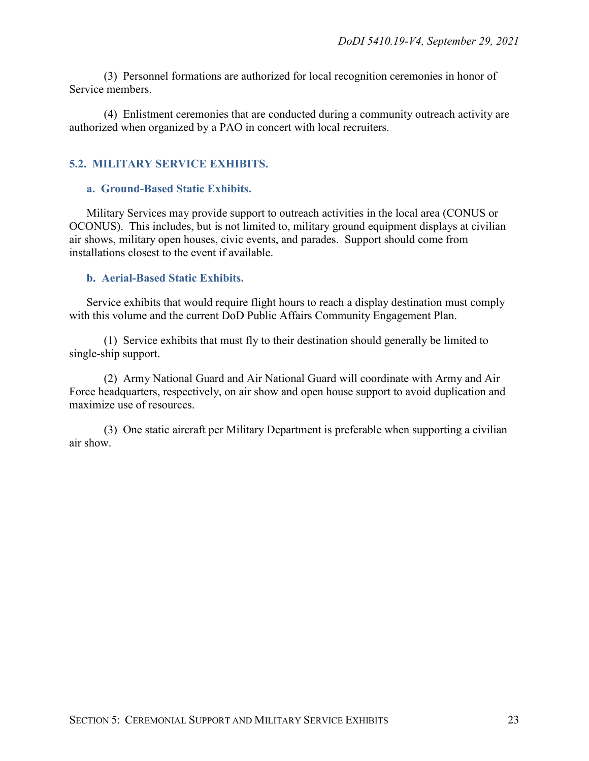(3) Personnel formations are authorized for local recognition ceremonies in honor of Service members.

(4) Enlistment ceremonies that are conducted during a community outreach activity are authorized when organized by a PAO in concert with local recruiters.

#### <span id="page-22-0"></span>**5.2. MILITARY SERVICE EXHIBITS.**

#### <span id="page-22-1"></span>**a. Ground-Based Static Exhibits.**

Military Services may provide support to outreach activities in the local area (CONUS or OCONUS). This includes, but is not limited to, military ground equipment displays at civilian air shows, military open houses, civic events, and parades. Support should come from installations closest to the event if available.

#### <span id="page-22-2"></span>**b. Aerial-Based Static Exhibits.**

Service exhibits that would require flight hours to reach a display destination must comply with this volume and the current DoD Public Affairs Community Engagement Plan.

(1) Service exhibits that must fly to their destination should generally be limited to single-ship support.

(2) Army National Guard and Air National Guard will coordinate with Army and Air Force headquarters, respectively, on air show and open house support to avoid duplication and maximize use of resources.

(3) One static aircraft per Military Department is preferable when supporting a civilian air show.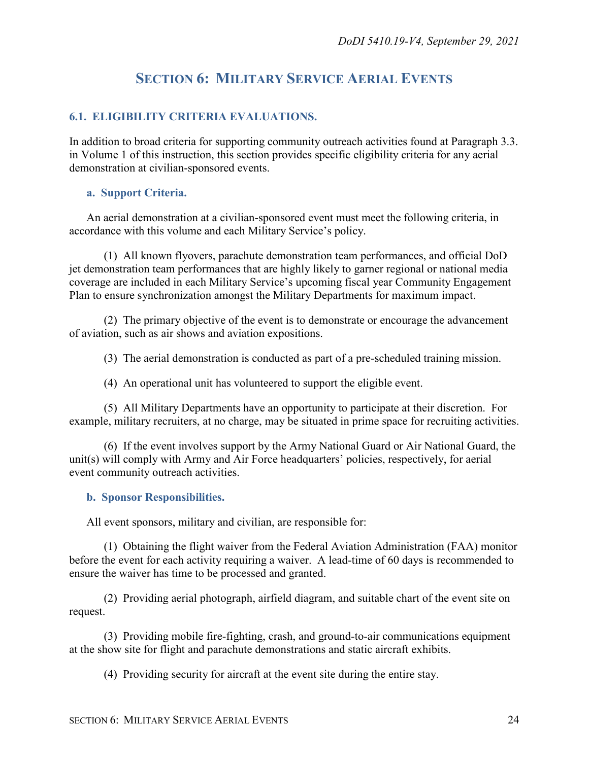## **SECTION 6: MILITARY SERVICE AERIAL EVENTS**

#### <span id="page-23-1"></span><span id="page-23-0"></span>**6.1. ELIGIBILITY CRITERIA EVALUATIONS.**

In addition to broad criteria for supporting community outreach activities found at Paragraph 3.3. in Volume 1 of this instruction, this section provides specific eligibility criteria for any aerial demonstration at civilian-sponsored events.

#### <span id="page-23-2"></span>**a. Support Criteria.**

An aerial demonstration at a civilian-sponsored event must meet the following criteria, in accordance with this volume and each Military Service's policy.

(1) All known flyovers, parachute demonstration team performances, and official DoD jet demonstration team performances that are highly likely to garner regional or national media coverage are included in each Military Service's upcoming fiscal year Community Engagement Plan to ensure synchronization amongst the Military Departments for maximum impact.

(2) The primary objective of the event is to demonstrate or encourage the advancement of aviation, such as air shows and aviation expositions.

(3) The aerial demonstration is conducted as part of a pre-scheduled training mission.

(4) An operational unit has volunteered to support the eligible event.

(5) All Military Departments have an opportunity to participate at their discretion. For example, military recruiters, at no charge, may be situated in prime space for recruiting activities.

(6) If the event involves support by the Army National Guard or Air National Guard, the unit(s) will comply with Army and Air Force headquarters' policies, respectively, for aerial event community outreach activities.

#### <span id="page-23-3"></span>**b. Sponsor Responsibilities.**

All event sponsors, military and civilian, are responsible for:

(1) Obtaining the flight waiver from the Federal Aviation Administration (FAA) monitor before the event for each activity requiring a waiver. A lead-time of 60 days is recommended to ensure the waiver has time to be processed and granted.

(2) Providing aerial photograph, airfield diagram, and suitable chart of the event site on request.

(3) Providing mobile fire-fighting, crash, and ground-to-air communications equipment at the show site for flight and parachute demonstrations and static aircraft exhibits.

(4) Providing security for aircraft at the event site during the entire stay.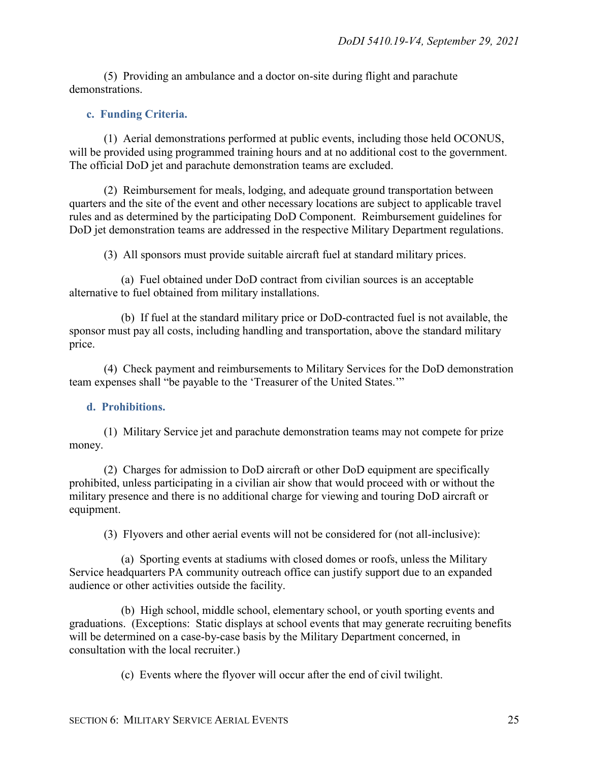(5) Providing an ambulance and a doctor on-site during flight and parachute demonstrations.

#### <span id="page-24-0"></span>**c. Funding Criteria.**

(1) Aerial demonstrations performed at public events, including those held OCONUS, will be provided using programmed training hours and at no additional cost to the government. The official DoD jet and parachute demonstration teams are excluded.

(2) Reimbursement for meals, lodging, and adequate ground transportation between quarters and the site of the event and other necessary locations are subject to applicable travel rules and as determined by the participating DoD Component. Reimbursement guidelines for DoD jet demonstration teams are addressed in the respective Military Department regulations.

(3) All sponsors must provide suitable aircraft fuel at standard military prices.

(a) Fuel obtained under DoD contract from civilian sources is an acceptable alternative to fuel obtained from military installations.

(b) If fuel at the standard military price or DoD-contracted fuel is not available, the sponsor must pay all costs, including handling and transportation, above the standard military price.

(4) Check payment and reimbursements to Military Services for the DoD demonstration team expenses shall "be payable to the 'Treasurer of the United States.'"

#### <span id="page-24-1"></span>**d. Prohibitions.**

(1) Military Service jet and parachute demonstration teams may not compete for prize money.

(2) Charges for admission to DoD aircraft or other DoD equipment are specifically prohibited, unless participating in a civilian air show that would proceed with or without the military presence and there is no additional charge for viewing and touring DoD aircraft or equipment.

(3) Flyovers and other aerial events will not be considered for (not all-inclusive):

(a) Sporting events at stadiums with closed domes or roofs, unless the Military Service headquarters PA community outreach office can justify support due to an expanded audience or other activities outside the facility.

(b) High school, middle school, elementary school, or youth sporting events and graduations. (Exceptions: Static displays at school events that may generate recruiting benefits will be determined on a case-by-case basis by the Military Department concerned, in consultation with the local recruiter.)

(c) Events where the flyover will occur after the end of civil twilight.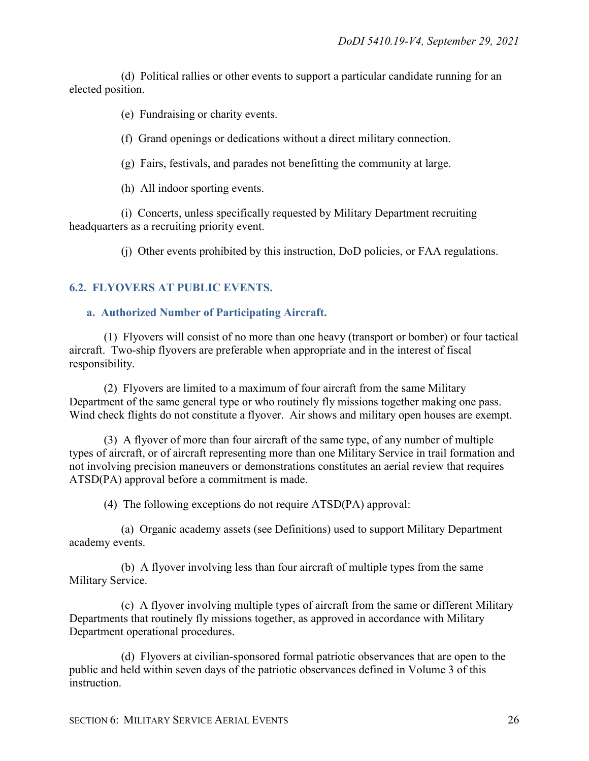(d) Political rallies or other events to support a particular candidate running for an elected position.

(e) Fundraising or charity events.

(f) Grand openings or dedications without a direct military connection.

(g) Fairs, festivals, and parades not benefitting the community at large.

(h) All indoor sporting events.

(i) Concerts, unless specifically requested by Military Department recruiting headquarters as a recruiting priority event.

(j) Other events prohibited by this instruction, DoD policies, or FAA regulations.

#### <span id="page-25-0"></span>**6.2. FLYOVERS AT PUBLIC EVENTS.**

#### <span id="page-25-1"></span>**a. Authorized Number of Participating Aircraft.**

(1) Flyovers will consist of no more than one heavy (transport or bomber) or four tactical aircraft. Two-ship flyovers are preferable when appropriate and in the interest of fiscal responsibility.

(2) Flyovers are limited to a maximum of four aircraft from the same Military Department of the same general type or who routinely fly missions together making one pass. Wind check flights do not constitute a flyover. Air shows and military open houses are exempt.

(3) A flyover of more than four aircraft of the same type, of any number of multiple types of aircraft, or of aircraft representing more than one Military Service in trail formation and not involving precision maneuvers or demonstrations constitutes an aerial review that requires ATSD(PA) approval before a commitment is made.

(4) The following exceptions do not require ATSD(PA) approval:

(a) Organic academy assets (see Definitions) used to support Military Department academy events.

(b) A flyover involving less than four aircraft of multiple types from the same Military Service.

(c) A flyover involving multiple types of aircraft from the same or different Military Departments that routinely fly missions together, as approved in accordance with Military Department operational procedures.

(d) Flyovers at civilian-sponsored formal patriotic observances that are open to the public and held within seven days of the patriotic observances defined in Volume 3 of this instruction.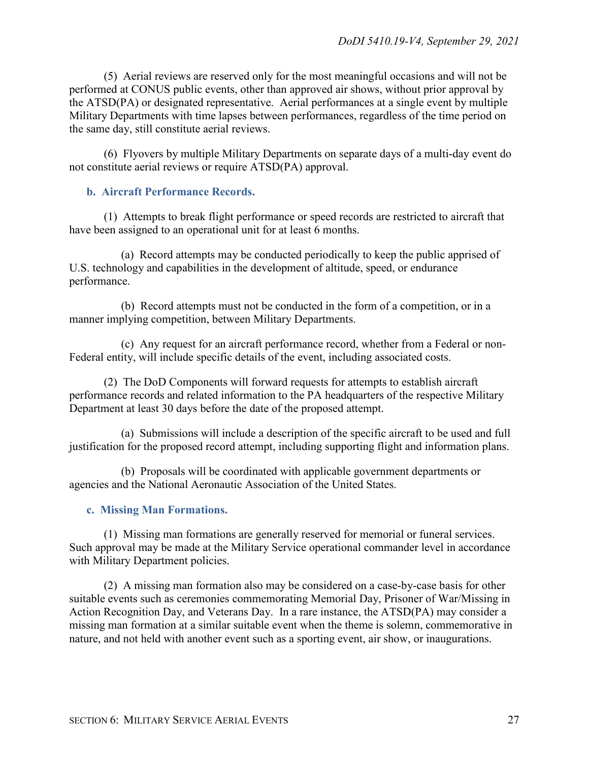(5) Aerial reviews are reserved only for the most meaningful occasions and will not be performed at CONUS public events, other than approved air shows, without prior approval by the ATSD(PA) or designated representative. Aerial performances at a single event by multiple Military Departments with time lapses between performances, regardless of the time period on the same day, still constitute aerial reviews.

(6) Flyovers by multiple Military Departments on separate days of a multi-day event do not constitute aerial reviews or require ATSD(PA) approval.

#### <span id="page-26-0"></span>**b. Aircraft Performance Records.**

(1) Attempts to break flight performance or speed records are restricted to aircraft that have been assigned to an operational unit for at least 6 months.

(a) Record attempts may be conducted periodically to keep the public apprised of U.S. technology and capabilities in the development of altitude, speed, or endurance performance.

(b) Record attempts must not be conducted in the form of a competition, or in a manner implying competition, between Military Departments.

(c) Any request for an aircraft performance record, whether from a Federal or non-Federal entity, will include specific details of the event, including associated costs.

(2) The DoD Components will forward requests for attempts to establish aircraft performance records and related information to the PA headquarters of the respective Military Department at least 30 days before the date of the proposed attempt.

(a) Submissions will include a description of the specific aircraft to be used and full justification for the proposed record attempt, including supporting flight and information plans.

(b) Proposals will be coordinated with applicable government departments or agencies and the National Aeronautic Association of the United States.

#### <span id="page-26-1"></span>**c. Missing Man Formations.**

(1) Missing man formations are generally reserved for memorial or funeral services. Such approval may be made at the Military Service operational commander level in accordance with Military Department policies.

(2) A missing man formation also may be considered on a case-by-case basis for other suitable events such as ceremonies commemorating Memorial Day, Prisoner of War/Missing in Action Recognition Day, and Veterans Day. In a rare instance, the ATSD(PA) may consider a missing man formation at a similar suitable event when the theme is solemn, commemorative in nature, and not held with another event such as a sporting event, air show, or inaugurations.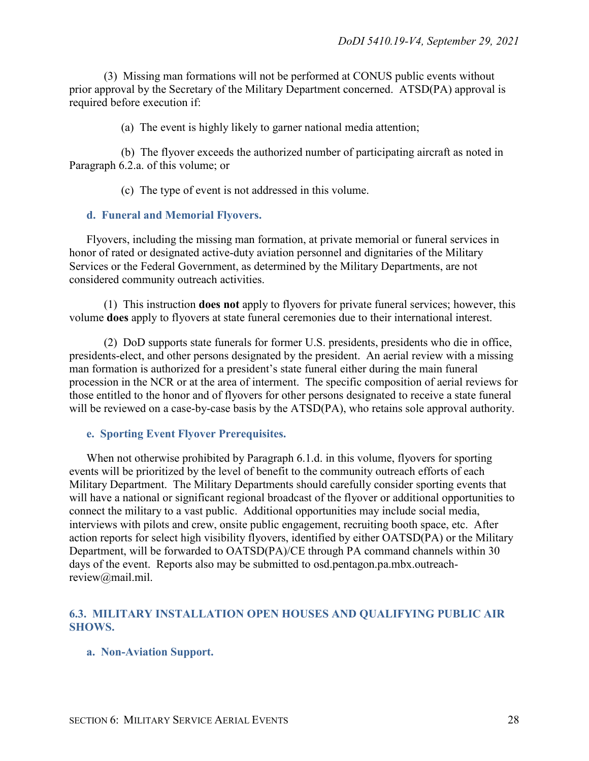(3) Missing man formations will not be performed at CONUS public events without prior approval by the Secretary of the Military Department concerned. ATSD(PA) approval is required before execution if:

(a) The event is highly likely to garner national media attention;

(b) The flyover exceeds the authorized number of participating aircraft as noted in Paragraph 6.2.a. of this volume; or

(c) The type of event is not addressed in this volume.

#### <span id="page-27-0"></span>**d. Funeral and Memorial Flyovers.**

Flyovers, including the missing man formation, at private memorial or funeral services in honor of rated or designated active-duty aviation personnel and dignitaries of the Military Services or the Federal Government, as determined by the Military Departments, are not considered community outreach activities.

(1) This instruction **does not** apply to flyovers for private funeral services; however, this volume **does** apply to flyovers at state funeral ceremonies due to their international interest.

(2) DoD supports state funerals for former U.S. presidents, presidents who die in office, presidents-elect, and other persons designated by the president. An aerial review with a missing man formation is authorized for a president's state funeral either during the main funeral procession in the NCR or at the area of interment. The specific composition of aerial reviews for those entitled to the honor and of flyovers for other persons designated to receive a state funeral will be reviewed on a case-by-case basis by the ATSD(PA), who retains sole approval authority.

#### <span id="page-27-1"></span>**e. Sporting Event Flyover Prerequisites.**

When not otherwise prohibited by Paragraph 6.1.d. in this volume, flyovers for sporting events will be prioritized by the level of benefit to the community outreach efforts of each Military Department. The Military Departments should carefully consider sporting events that will have a national or significant regional broadcast of the flyover or additional opportunities to connect the military to a vast public. Additional opportunities may include social media, interviews with pilots and crew, onsite public engagement, recruiting booth space, etc. After action reports for select high visibility flyovers, identified by either OATSD(PA) or the Military Department, will be forwarded to OATSD(PA)/CE through PA command channels within 30 days of the event. Reports also may be submitted to osd.pentagon.pa.mbx.outreachreview@mail.mil.

#### <span id="page-27-2"></span>**6.3. MILITARY INSTALLATION OPEN HOUSES AND QUALIFYING PUBLIC AIR SHOWS.**

#### <span id="page-27-3"></span>**a. Non-Aviation Support.**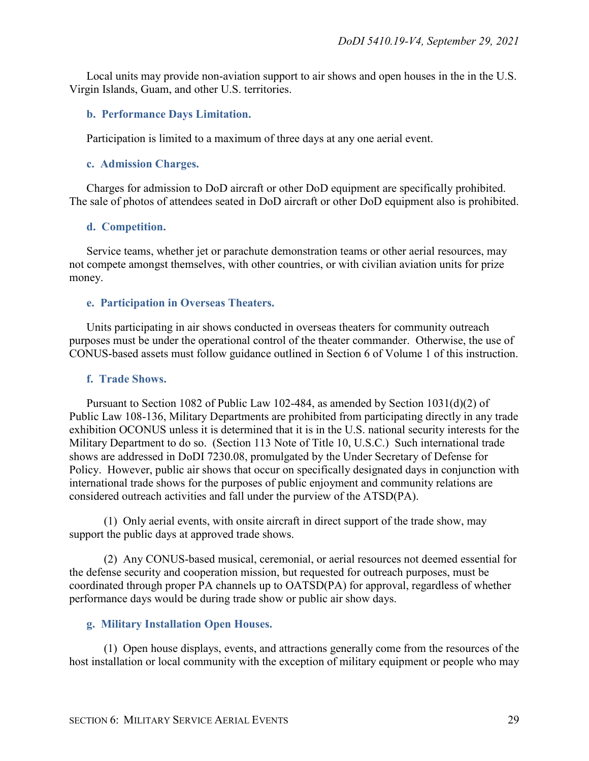Local units may provide non-aviation support to air shows and open houses in the in the U.S. Virgin Islands, Guam, and other U.S. territories.

#### <span id="page-28-0"></span>**b. Performance Days Limitation.**

Participation is limited to a maximum of three days at any one aerial event.

#### <span id="page-28-1"></span>**c. Admission Charges.**

Charges for admission to DoD aircraft or other DoD equipment are specifically prohibited. The sale of photos of attendees seated in DoD aircraft or other DoD equipment also is prohibited.

#### <span id="page-28-2"></span>**d. Competition.**

Service teams, whether jet or parachute demonstration teams or other aerial resources, may not compete amongst themselves, with other countries, or with civilian aviation units for prize money.

#### <span id="page-28-3"></span>**e. Participation in Overseas Theaters.**

Units participating in air shows conducted in overseas theaters for community outreach purposes must be under the operational control of the theater commander. Otherwise, the use of CONUS-based assets must follow guidance outlined in Section 6 of Volume 1 of this instruction.

#### <span id="page-28-4"></span>**f. Trade Shows.**

Pursuant to Section 1082 of Public Law 102-484, as amended by Section 1031(d)(2) of Public Law 108-136, Military Departments are prohibited from participating directly in any trade exhibition OCONUS unless it is determined that it is in the U.S. national security interests for the Military Department to do so. (Section 113 Note of Title 10, U.S.C.) Such international trade shows are addressed in DoDI 7230.08, promulgated by the Under Secretary of Defense for Policy. However, public air shows that occur on specifically designated days in conjunction with international trade shows for the purposes of public enjoyment and community relations are considered outreach activities and fall under the purview of the ATSD(PA).

(1) Only aerial events, with onsite aircraft in direct support of the trade show, may support the public days at approved trade shows.

(2) Any CONUS-based musical, ceremonial, or aerial resources not deemed essential for the defense security and cooperation mission, but requested for outreach purposes, must be coordinated through proper PA channels up to OATSD(PA) for approval, regardless of whether performance days would be during trade show or public air show days.

#### <span id="page-28-5"></span>**g. Military Installation Open Houses.**

(1) Open house displays, events, and attractions generally come from the resources of the host installation or local community with the exception of military equipment or people who may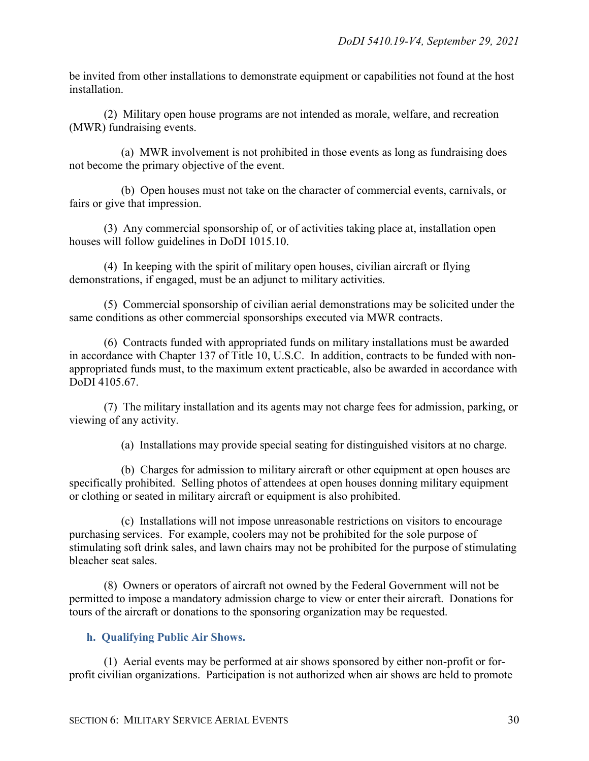be invited from other installations to demonstrate equipment or capabilities not found at the host installation.

(2) Military open house programs are not intended as morale, welfare, and recreation (MWR) fundraising events.

(a) MWR involvement is not prohibited in those events as long as fundraising does not become the primary objective of the event.

(b) Open houses must not take on the character of commercial events, carnivals, or fairs or give that impression.

(3) Any commercial sponsorship of, or of activities taking place at, installation open houses will follow guidelines in DoDI 1015.10.

(4) In keeping with the spirit of military open houses, civilian aircraft or flying demonstrations, if engaged, must be an adjunct to military activities.

(5) Commercial sponsorship of civilian aerial demonstrations may be solicited under the same conditions as other commercial sponsorships executed via MWR contracts.

(6) Contracts funded with appropriated funds on military installations must be awarded in accordance with Chapter 137 of Title 10, U.S.C. In addition, contracts to be funded with nonappropriated funds must, to the maximum extent practicable, also be awarded in accordance with DoDI 4105.67.

(7) The military installation and its agents may not charge fees for admission, parking, or viewing of any activity.

(a) Installations may provide special seating for distinguished visitors at no charge.

(b) Charges for admission to military aircraft or other equipment at open houses are specifically prohibited. Selling photos of attendees at open houses donning military equipment or clothing or seated in military aircraft or equipment is also prohibited.

(c) Installations will not impose unreasonable restrictions on visitors to encourage purchasing services. For example, coolers may not be prohibited for the sole purpose of stimulating soft drink sales, and lawn chairs may not be prohibited for the purpose of stimulating bleacher seat sales.

(8) Owners or operators of aircraft not owned by the Federal Government will not be permitted to impose a mandatory admission charge to view or enter their aircraft. Donations for tours of the aircraft or donations to the sponsoring organization may be requested.

#### <span id="page-29-0"></span>**h. Qualifying Public Air Shows.**

(1) Aerial events may be performed at air shows sponsored by either non-profit or forprofit civilian organizations. Participation is not authorized when air shows are held to promote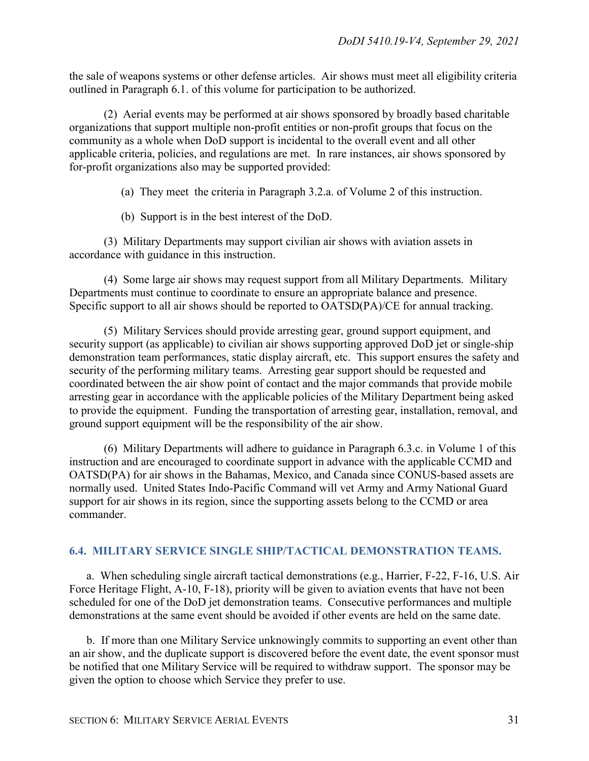the sale of weapons systems or other defense articles. Air shows must meet all eligibility criteria outlined in Paragraph 6.1. of this volume for participation to be authorized.

(2) Aerial events may be performed at air shows sponsored by broadly based charitable organizations that support multiple non-profit entities or non-profit groups that focus on the community as a whole when DoD support is incidental to the overall event and all other applicable criteria, policies, and regulations are met. In rare instances, air shows sponsored by for-profit organizations also may be supported provided:

(a) They meet the criteria in Paragraph 3.2.a. of Volume 2 of this instruction.

(b) Support is in the best interest of the DoD.

(3) Military Departments may support civilian air shows with aviation assets in accordance with guidance in this instruction.

(4) Some large air shows may request support from all Military Departments. Military Departments must continue to coordinate to ensure an appropriate balance and presence. Specific support to all air shows should be reported to OATSD(PA)/CE for annual tracking.

(5) Military Services should provide arresting gear, ground support equipment, and security support (as applicable) to civilian air shows supporting approved DoD jet or single-ship demonstration team performances, static display aircraft, etc. This support ensures the safety and security of the performing military teams. Arresting gear support should be requested and coordinated between the air show point of contact and the major commands that provide mobile arresting gear in accordance with the applicable policies of the Military Department being asked to provide the equipment. Funding the transportation of arresting gear, installation, removal, and ground support equipment will be the responsibility of the air show.

(6) Military Departments will adhere to guidance in Paragraph 6.3.c. in Volume 1 of this instruction and are encouraged to coordinate support in advance with the applicable CCMD and OATSD(PA) for air shows in the Bahamas, Mexico, and Canada since CONUS-based assets are normally used. United States Indo-Pacific Command will vet Army and Army National Guard support for air shows in its region, since the supporting assets belong to the CCMD or area commander.

#### <span id="page-30-0"></span>**6.4. MILITARY SERVICE SINGLE SHIP/TACTICAL DEMONSTRATION TEAMS.**

a. When scheduling single aircraft tactical demonstrations (e.g., Harrier, F-22, F-16, U.S. Air Force Heritage Flight, A-10, F-18), priority will be given to aviation events that have not been scheduled for one of the DoD jet demonstration teams. Consecutive performances and multiple demonstrations at the same event should be avoided if other events are held on the same date.

b. If more than one Military Service unknowingly commits to supporting an event other than an air show, and the duplicate support is discovered before the event date, the event sponsor must be notified that one Military Service will be required to withdraw support. The sponsor may be given the option to choose which Service they prefer to use.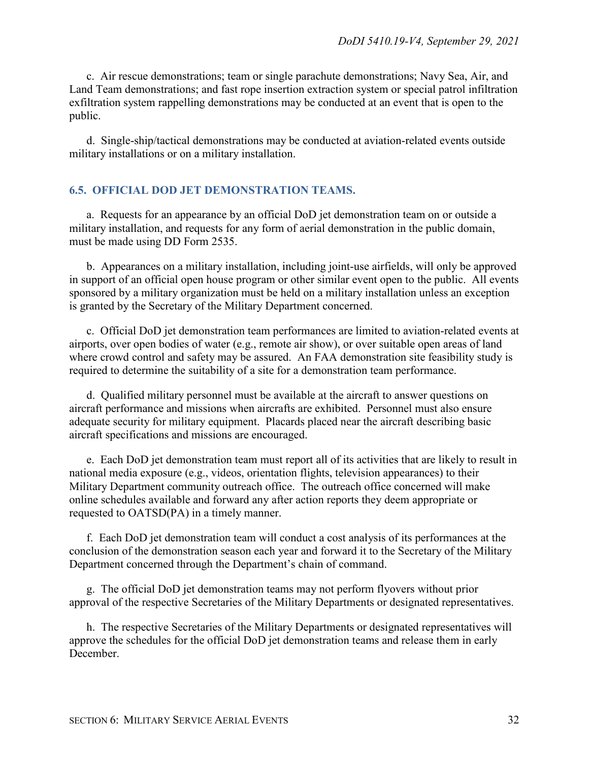c. Air rescue demonstrations; team or single parachute demonstrations; Navy Sea, Air, and Land Team demonstrations; and fast rope insertion extraction system or special patrol infiltration exfiltration system rappelling demonstrations may be conducted at an event that is open to the public.

d. Single-ship/tactical demonstrations may be conducted at aviation-related events outside military installations or on a military installation.

#### <span id="page-31-0"></span>**6.5. OFFICIAL DOD JET DEMONSTRATION TEAMS.**

a. Requests for an appearance by an official DoD jet demonstration team on or outside a military installation, and requests for any form of aerial demonstration in the public domain, must be made using DD Form 2535.

b. Appearances on a military installation, including joint-use airfields, will only be approved in support of an official open house program or other similar event open to the public. All events sponsored by a military organization must be held on a military installation unless an exception is granted by the Secretary of the Military Department concerned.

c. Official DoD jet demonstration team performances are limited to aviation-related events at airports, over open bodies of water (e.g., remote air show), or over suitable open areas of land where crowd control and safety may be assured. An FAA demonstration site feasibility study is required to determine the suitability of a site for a demonstration team performance.

d. Qualified military personnel must be available at the aircraft to answer questions on aircraft performance and missions when aircrafts are exhibited. Personnel must also ensure adequate security for military equipment. Placards placed near the aircraft describing basic aircraft specifications and missions are encouraged.

e. Each DoD jet demonstration team must report all of its activities that are likely to result in national media exposure (e.g., videos, orientation flights, television appearances) to their Military Department community outreach office. The outreach office concerned will make online schedules available and forward any after action reports they deem appropriate or requested to OATSD(PA) in a timely manner.

f. Each DoD jet demonstration team will conduct a cost analysis of its performances at the conclusion of the demonstration season each year and forward it to the Secretary of the Military Department concerned through the Department's chain of command.

g. The official DoD jet demonstration teams may not perform flyovers without prior approval of the respective Secretaries of the Military Departments or designated representatives.

h. The respective Secretaries of the Military Departments or designated representatives will approve the schedules for the official DoD jet demonstration teams and release them in early December.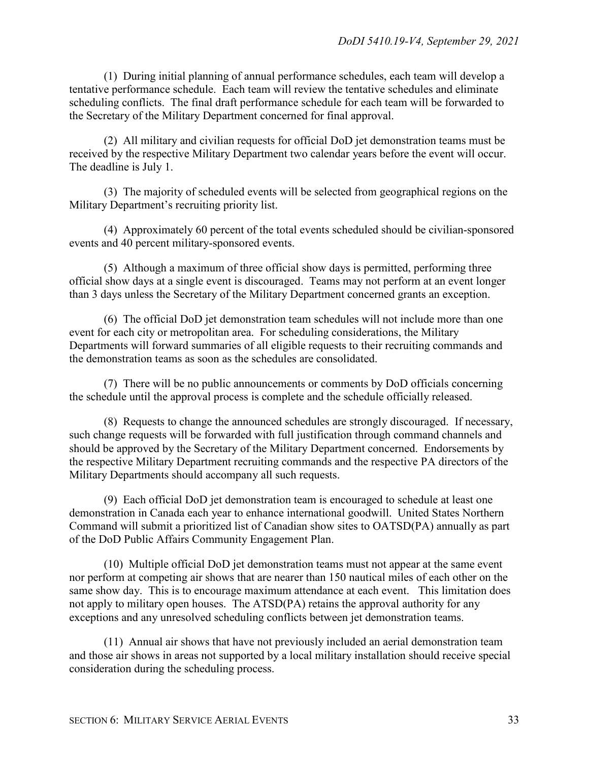(1) During initial planning of annual performance schedules, each team will develop a tentative performance schedule. Each team will review the tentative schedules and eliminate scheduling conflicts. The final draft performance schedule for each team will be forwarded to the Secretary of the Military Department concerned for final approval.

(2) All military and civilian requests for official DoD jet demonstration teams must be received by the respective Military Department two calendar years before the event will occur. The deadline is July 1.

(3) The majority of scheduled events will be selected from geographical regions on the Military Department's recruiting priority list.

(4) Approximately 60 percent of the total events scheduled should be civilian-sponsored events and 40 percent military-sponsored events.

(5) Although a maximum of three official show days is permitted, performing three official show days at a single event is discouraged. Teams may not perform at an event longer than 3 days unless the Secretary of the Military Department concerned grants an exception.

(6) The official DoD jet demonstration team schedules will not include more than one event for each city or metropolitan area. For scheduling considerations, the Military Departments will forward summaries of all eligible requests to their recruiting commands and the demonstration teams as soon as the schedules are consolidated.

(7) There will be no public announcements or comments by DoD officials concerning the schedule until the approval process is complete and the schedule officially released.

(8) Requests to change the announced schedules are strongly discouraged. If necessary, such change requests will be forwarded with full justification through command channels and should be approved by the Secretary of the Military Department concerned. Endorsements by the respective Military Department recruiting commands and the respective PA directors of the Military Departments should accompany all such requests.

(9) Each official DoD jet demonstration team is encouraged to schedule at least one demonstration in Canada each year to enhance international goodwill. United States Northern Command will submit a prioritized list of Canadian show sites to OATSD(PA) annually as part of the DoD Public Affairs Community Engagement Plan.

(10) Multiple official DoD jet demonstration teams must not appear at the same event nor perform at competing air shows that are nearer than 150 nautical miles of each other on the same show day. This is to encourage maximum attendance at each event. This limitation does not apply to military open houses. The ATSD(PA) retains the approval authority for any exceptions and any unresolved scheduling conflicts between jet demonstration teams.

(11) Annual air shows that have not previously included an aerial demonstration team and those air shows in areas not supported by a local military installation should receive special consideration during the scheduling process.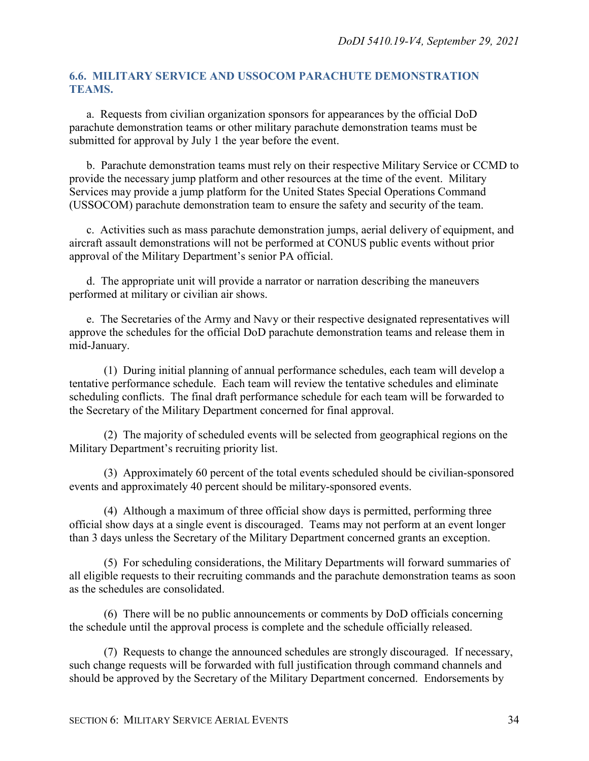#### <span id="page-33-0"></span>**6.6. MILITARY SERVICE AND USSOCOM PARACHUTE DEMONSTRATION TEAMS.**

a. Requests from civilian organization sponsors for appearances by the official DoD parachute demonstration teams or other military parachute demonstration teams must be submitted for approval by July 1 the year before the event.

b. Parachute demonstration teams must rely on their respective Military Service or CCMD to provide the necessary jump platform and other resources at the time of the event. Military Services may provide a jump platform for the United States Special Operations Command (USSOCOM) parachute demonstration team to ensure the safety and security of the team.

c. Activities such as mass parachute demonstration jumps, aerial delivery of equipment, and aircraft assault demonstrations will not be performed at CONUS public events without prior approval of the Military Department's senior PA official.

d. The appropriate unit will provide a narrator or narration describing the maneuvers performed at military or civilian air shows.

e. The Secretaries of the Army and Navy or their respective designated representatives will approve the schedules for the official DoD parachute demonstration teams and release them in mid-January.

(1) During initial planning of annual performance schedules, each team will develop a tentative performance schedule. Each team will review the tentative schedules and eliminate scheduling conflicts. The final draft performance schedule for each team will be forwarded to the Secretary of the Military Department concerned for final approval.

(2) The majority of scheduled events will be selected from geographical regions on the Military Department's recruiting priority list.

(3) Approximately 60 percent of the total events scheduled should be civilian-sponsored events and approximately 40 percent should be military-sponsored events.

(4) Although a maximum of three official show days is permitted, performing three official show days at a single event is discouraged. Teams may not perform at an event longer than 3 days unless the Secretary of the Military Department concerned grants an exception.

(5) For scheduling considerations, the Military Departments will forward summaries of all eligible requests to their recruiting commands and the parachute demonstration teams as soon as the schedules are consolidated.

(6) There will be no public announcements or comments by DoD officials concerning the schedule until the approval process is complete and the schedule officially released.

(7) Requests to change the announced schedules are strongly discouraged. If necessary, such change requests will be forwarded with full justification through command channels and should be approved by the Secretary of the Military Department concerned. Endorsements by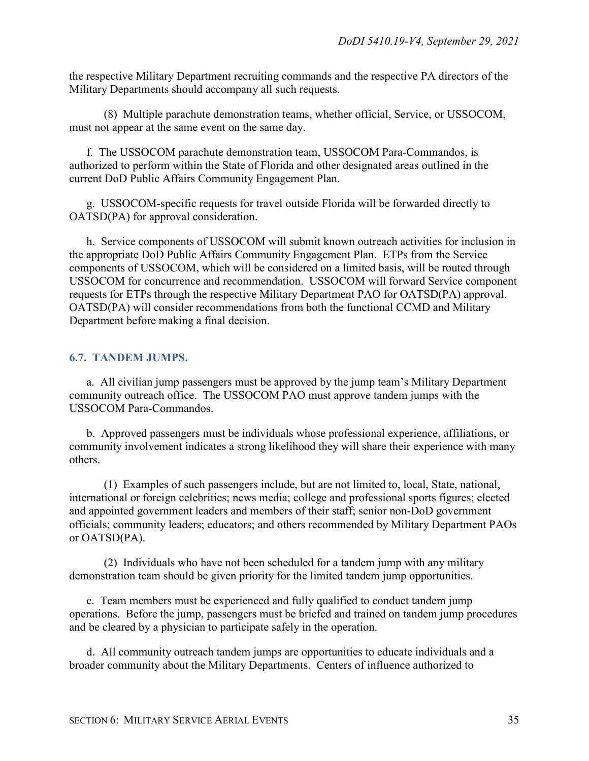the respective Military Department recruiting commands and the respective PA directors of the Military Departments should accompany all such requests.

(8) Multiple parachute demonstration teams, whether official, Service, or USSOCOM, must not appear at the same event on the same day.

f. The USSOCOM parachute demonstration team, USSOCOM Para-Commandos, is authorized to perform within the State of Florida and other designated areas outlined in the current DoD Public Affairs Community Engagement Plan.

g. USSOCOM-specific requests for travel outside Florida will be forwarded directly to OATSD(PA) for approval consideration.

h. Service components of USSOCOM will submit known outreach activities for inclusion in the appropriate DoD Public Affairs Community Engagement Plan. ETPs from the Service components of USSOCOM, which will be considered on a limited basis, will be routed through USSOCOM for concurrence and recommendation. USSOCOM will forward Service component requests for ETPs through the respective Military Department PAO for OATSD(PA) approval. OATSD(PA) will consider recommendations from both the functional CCMD and Military Department before making a final decision.

#### <span id="page-34-0"></span>**6.7. TANDEM JUMPS.**

a. All civilian jump passengers must be approved by the jump team's Military Department community outreach office. The USSOCOM PAO must approve tandem jumps with the USSOCOM Para-Commandos.

b. Approved passengers must be individuals whose professional experience, affiliations, or community involvement indicates a strong likelihood they will share their experience with many others.

(1) Examples of such passengers include, but are not limited to, local, State, national, international or foreign celebrities; news media; college and professional sports figures; elected and appointed government leaders and members of their staff; senior non-DoD government officials; community leaders; educators; and others recommended by Military Department PAOs or OATSD(PA).

(2) Individuals who have not been scheduled for a tandem jump with any military demonstration team should be given priority for the limited tandem jump opportunities.

c. Team members must be experienced and fully qualified to conduct tandem jump operations. Before the jump, passengers must be briefed and trained on tandem jump procedures and be cleared by a physician to participate safely in the operation.

d. All community outreach tandem jumps are opportunities to educate individuals and a broader community about the Military Departments. Centers of influence authorized to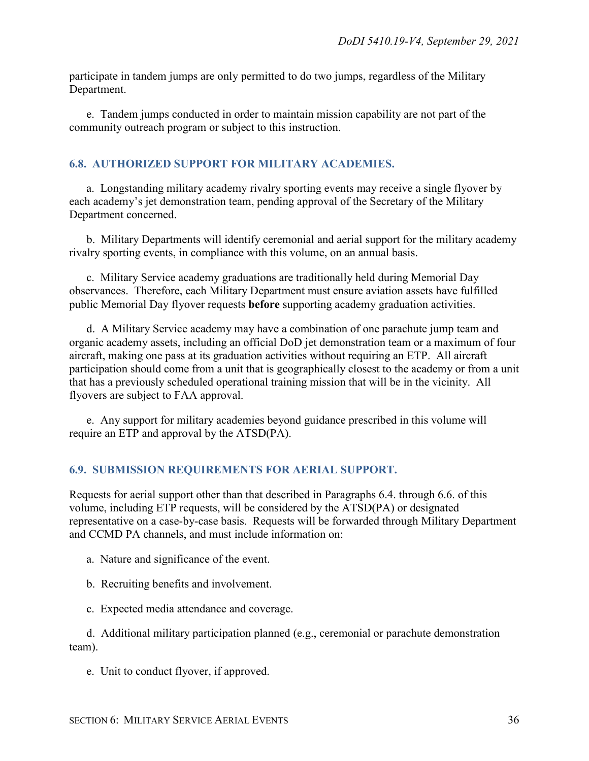participate in tandem jumps are only permitted to do two jumps, regardless of the Military Department.

e. Tandem jumps conducted in order to maintain mission capability are not part of the community outreach program or subject to this instruction.

#### <span id="page-35-0"></span>**6.8. AUTHORIZED SUPPORT FOR MILITARY ACADEMIES.**

a. Longstanding military academy rivalry sporting events may receive a single flyover by each academy's jet demonstration team, pending approval of the Secretary of the Military Department concerned.

b. Military Departments will identify ceremonial and aerial support for the military academy rivalry sporting events, in compliance with this volume, on an annual basis.

c. Military Service academy graduations are traditionally held during Memorial Day observances. Therefore, each Military Department must ensure aviation assets have fulfilled public Memorial Day flyover requests **before** supporting academy graduation activities.

d. A Military Service academy may have a combination of one parachute jump team and organic academy assets, including an official DoD jet demonstration team or a maximum of four aircraft, making one pass at its graduation activities without requiring an ETP. All aircraft participation should come from a unit that is geographically closest to the academy or from a unit that has a previously scheduled operational training mission that will be in the vicinity. All flyovers are subject to FAA approval.

e. Any support for military academies beyond guidance prescribed in this volume will require an ETP and approval by the ATSD(PA).

#### <span id="page-35-1"></span>**6.9. SUBMISSION REQUIREMENTS FOR AERIAL SUPPORT.**

Requests for aerial support other than that described in Paragraphs 6.4. through 6.6. of this volume, including ETP requests, will be considered by the ATSD(PA) or designated representative on a case-by-case basis. Requests will be forwarded through Military Department and CCMD PA channels, and must include information on:

- a. Nature and significance of the event.
- b. Recruiting benefits and involvement.
- c. Expected media attendance and coverage.

d. Additional military participation planned (e.g., ceremonial or parachute demonstration team).

e. Unit to conduct flyover, if approved.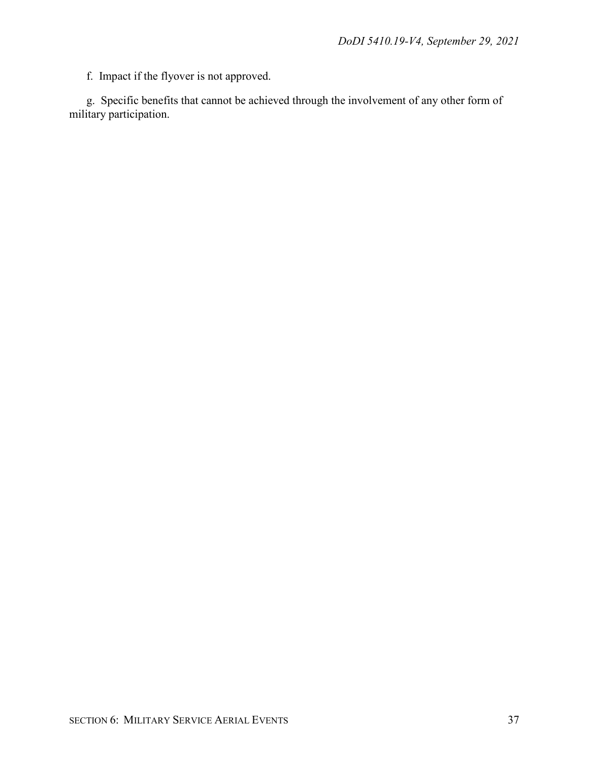f. Impact if the flyover is not approved.

g. Specific benefits that cannot be achieved through the involvement of any other form of military participation.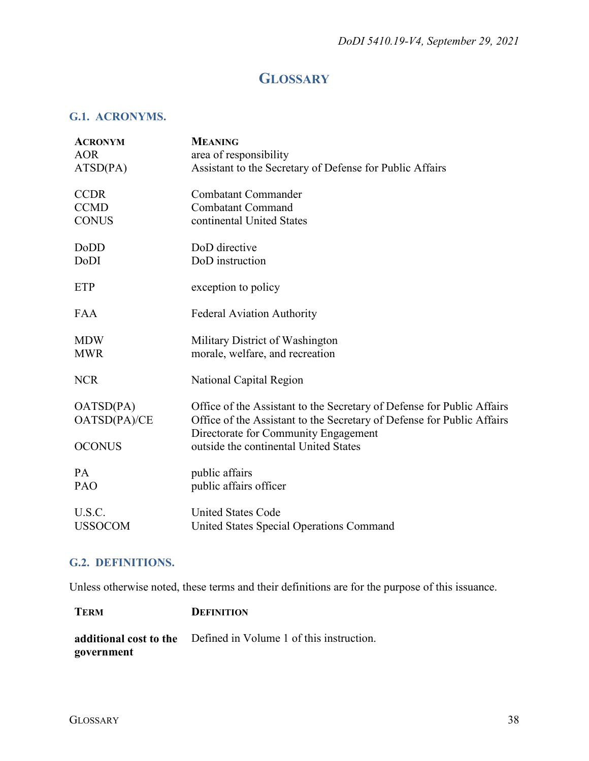# **GLOSSARY**

#### <span id="page-37-1"></span><span id="page-37-0"></span>**G.1. ACRONYMS.**

| area of responsibility<br><b>AOR</b><br>ATSD(PA)<br>Assistant to the Secretary of Defense for Public Affairs<br><b>CCDR</b><br><b>Combatant Commander</b><br><b>CCMD</b><br><b>Combatant Command</b><br>continental United States<br><b>CONUS</b> |
|---------------------------------------------------------------------------------------------------------------------------------------------------------------------------------------------------------------------------------------------------|
|                                                                                                                                                                                                                                                   |
|                                                                                                                                                                                                                                                   |
|                                                                                                                                                                                                                                                   |
|                                                                                                                                                                                                                                                   |
|                                                                                                                                                                                                                                                   |
| DoD directive<br>DoDD                                                                                                                                                                                                                             |
| DoD instruction<br>DoDI                                                                                                                                                                                                                           |
| exception to policy<br><b>ETP</b>                                                                                                                                                                                                                 |
| <b>Federal Aviation Authority</b><br><b>FAA</b>                                                                                                                                                                                                   |
| Military District of Washington<br><b>MDW</b>                                                                                                                                                                                                     |
| <b>MWR</b><br>morale, welfare, and recreation                                                                                                                                                                                                     |
| <b>NCR</b><br>National Capital Region                                                                                                                                                                                                             |
| OATSD(PA)<br>Office of the Assistant to the Secretary of Defense for Public Affairs                                                                                                                                                               |
| Office of the Assistant to the Secretary of Defense for Public Affairs<br>OATSD(PA)/CE<br>Directorate for Community Engagement                                                                                                                    |
| <b>OCONUS</b><br>outside the continental United States                                                                                                                                                                                            |
| public affairs<br><b>PA</b>                                                                                                                                                                                                                       |
| public affairs officer<br>PAO                                                                                                                                                                                                                     |
| U.S.C.<br><b>United States Code</b>                                                                                                                                                                                                               |
| <b>USSOCOM</b><br>United States Special Operations Command                                                                                                                                                                                        |

### <span id="page-37-2"></span>**G.2. DEFINITIONS.**

Unless otherwise noted, these terms and their definitions are for the purpose of this issuance.

| <b>TERM</b> | <b>DEFINITION</b>                                               |
|-------------|-----------------------------------------------------------------|
|             | additional cost to the Defined in Volume 1 of this instruction. |
| government  |                                                                 |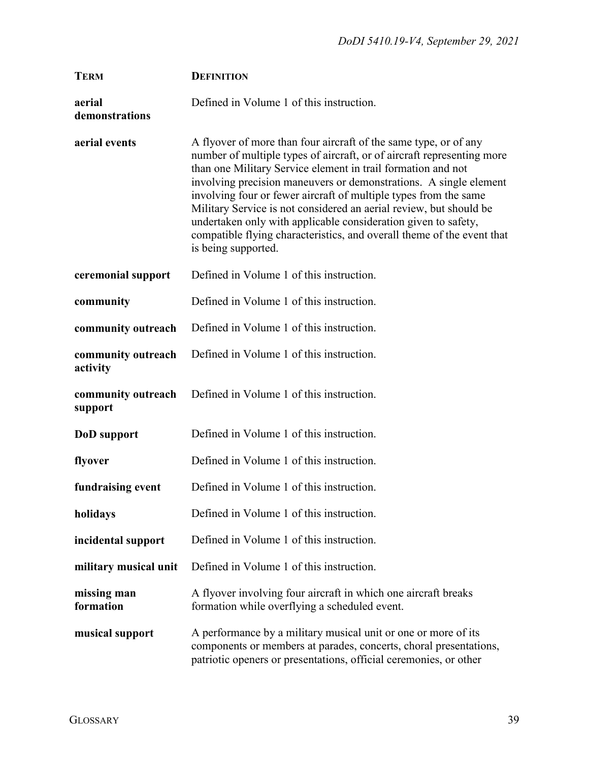| <b>TERM</b>                    | <b>DEFINITION</b>                                                                                                                                                                                                                                                                                                                                                                                                                                                                                                                                                                            |
|--------------------------------|----------------------------------------------------------------------------------------------------------------------------------------------------------------------------------------------------------------------------------------------------------------------------------------------------------------------------------------------------------------------------------------------------------------------------------------------------------------------------------------------------------------------------------------------------------------------------------------------|
| aerial<br>demonstrations       | Defined in Volume 1 of this instruction.                                                                                                                                                                                                                                                                                                                                                                                                                                                                                                                                                     |
| aerial events                  | A flyover of more than four aircraft of the same type, or of any<br>number of multiple types of aircraft, or of aircraft representing more<br>than one Military Service element in trail formation and not<br>involving precision maneuvers or demonstrations. A single element<br>involving four or fewer aircraft of multiple types from the same<br>Military Service is not considered an aerial review, but should be<br>undertaken only with applicable consideration given to safety,<br>compatible flying characteristics, and overall theme of the event that<br>is being supported. |
| ceremonial support             | Defined in Volume 1 of this instruction.                                                                                                                                                                                                                                                                                                                                                                                                                                                                                                                                                     |
| community                      | Defined in Volume 1 of this instruction.                                                                                                                                                                                                                                                                                                                                                                                                                                                                                                                                                     |
| community outreach             | Defined in Volume 1 of this instruction.                                                                                                                                                                                                                                                                                                                                                                                                                                                                                                                                                     |
| community outreach<br>activity | Defined in Volume 1 of this instruction.                                                                                                                                                                                                                                                                                                                                                                                                                                                                                                                                                     |
| community outreach<br>support  | Defined in Volume 1 of this instruction.                                                                                                                                                                                                                                                                                                                                                                                                                                                                                                                                                     |
| DoD support                    | Defined in Volume 1 of this instruction.                                                                                                                                                                                                                                                                                                                                                                                                                                                                                                                                                     |
| flyover                        | Defined in Volume 1 of this instruction.                                                                                                                                                                                                                                                                                                                                                                                                                                                                                                                                                     |
| fundraising event              | Defined in Volume 1 of this instruction.                                                                                                                                                                                                                                                                                                                                                                                                                                                                                                                                                     |
| holidays                       | Defined in Volume 1 of this instruction.                                                                                                                                                                                                                                                                                                                                                                                                                                                                                                                                                     |
| incidental support             | Defined in Volume 1 of this instruction.                                                                                                                                                                                                                                                                                                                                                                                                                                                                                                                                                     |
| military musical unit          | Defined in Volume 1 of this instruction.                                                                                                                                                                                                                                                                                                                                                                                                                                                                                                                                                     |
| missing man<br>formation       | A flyover involving four aircraft in which one aircraft breaks<br>formation while overflying a scheduled event.                                                                                                                                                                                                                                                                                                                                                                                                                                                                              |
| musical support                | A performance by a military musical unit or one or more of its<br>components or members at parades, concerts, choral presentations,<br>patriotic openers or presentations, official ceremonies, or other                                                                                                                                                                                                                                                                                                                                                                                     |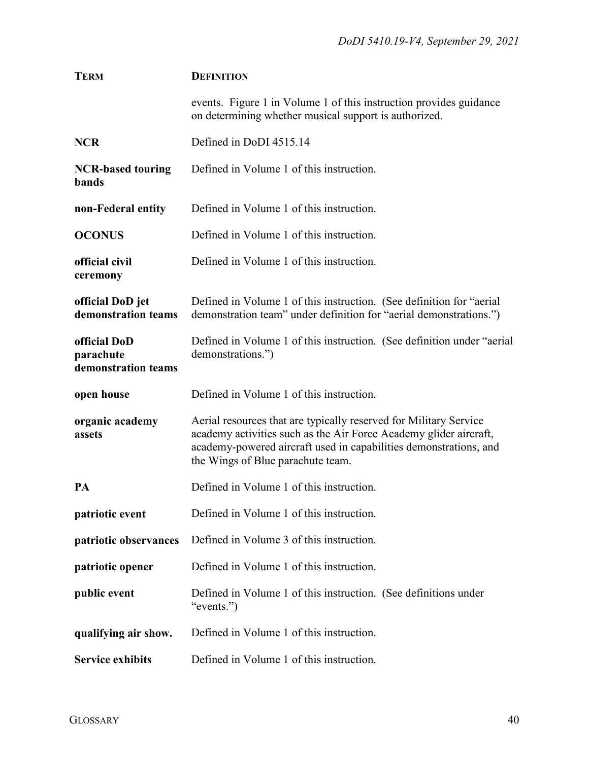| <b>TERM</b>                                      | <b>DEFINITION</b>                                                                                                                                                                                                                                |
|--------------------------------------------------|--------------------------------------------------------------------------------------------------------------------------------------------------------------------------------------------------------------------------------------------------|
|                                                  | events. Figure 1 in Volume 1 of this instruction provides guidance<br>on determining whether musical support is authorized.                                                                                                                      |
| <b>NCR</b>                                       | Defined in DoDI 4515.14                                                                                                                                                                                                                          |
| <b>NCR-based touring</b><br><b>bands</b>         | Defined in Volume 1 of this instruction.                                                                                                                                                                                                         |
| non-Federal entity                               | Defined in Volume 1 of this instruction.                                                                                                                                                                                                         |
| <b>OCONUS</b>                                    | Defined in Volume 1 of this instruction.                                                                                                                                                                                                         |
| official civil<br>ceremony                       | Defined in Volume 1 of this instruction.                                                                                                                                                                                                         |
| official DoD jet<br>demonstration teams          | Defined in Volume 1 of this instruction. (See definition for "aerial"<br>demonstration team" under definition for "aerial demonstrations.")                                                                                                      |
| official DoD<br>parachute<br>demonstration teams | Defined in Volume 1 of this instruction. (See definition under "aerial"<br>demonstrations.")                                                                                                                                                     |
| open house                                       | Defined in Volume 1 of this instruction.                                                                                                                                                                                                         |
| organic academy<br>assets                        | Aerial resources that are typically reserved for Military Service<br>academy activities such as the Air Force Academy glider aircraft,<br>academy-powered aircraft used in capabilities demonstrations, and<br>the Wings of Blue parachute team. |
| PA                                               | Defined in Volume 1 of this instruction.                                                                                                                                                                                                         |
| patriotic event                                  | Defined in Volume 1 of this instruction.                                                                                                                                                                                                         |
| patriotic observances                            | Defined in Volume 3 of this instruction.                                                                                                                                                                                                         |
| patriotic opener                                 | Defined in Volume 1 of this instruction.                                                                                                                                                                                                         |
| public event                                     | Defined in Volume 1 of this instruction. (See definitions under<br>"events.")                                                                                                                                                                    |
| qualifying air show.                             | Defined in Volume 1 of this instruction.                                                                                                                                                                                                         |
| <b>Service exhibits</b>                          | Defined in Volume 1 of this instruction.                                                                                                                                                                                                         |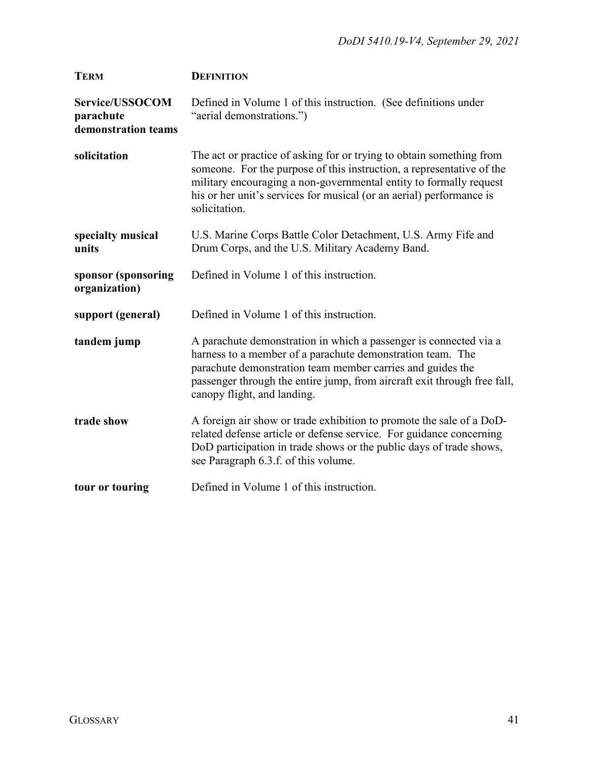| <b>TERM</b>                                         | <b>DEFINITION</b>                                                                                                                                                                                                                                                                                            |
|-----------------------------------------------------|--------------------------------------------------------------------------------------------------------------------------------------------------------------------------------------------------------------------------------------------------------------------------------------------------------------|
| Service/USSOCOM<br>parachute<br>demonstration teams | Defined in Volume 1 of this instruction. (See definitions under<br>"aerial demonstrations.")                                                                                                                                                                                                                 |
| solicitation                                        | The act or practice of asking for or trying to obtain something from<br>someone. For the purpose of this instruction, a representative of the<br>military encouraging a non-governmental entity to formally request<br>his or her unit's services for musical (or an aerial) performance is<br>solicitation. |
| specialty musical<br>units                          | U.S. Marine Corps Battle Color Detachment, U.S. Army Fife and<br>Drum Corps, and the U.S. Military Academy Band.                                                                                                                                                                                             |
| sponsor (sponsoring<br>organization)                | Defined in Volume 1 of this instruction.                                                                                                                                                                                                                                                                     |
| support (general)                                   | Defined in Volume 1 of this instruction.                                                                                                                                                                                                                                                                     |
| tandem jump                                         | A parachute demonstration in which a passenger is connected via a<br>harness to a member of a parachute demonstration team. The<br>parachute demonstration team member carries and guides the<br>passenger through the entire jump, from aircraft exit through free fall,<br>canopy flight, and landing.     |
| trade show                                          | A foreign air show or trade exhibition to promote the sale of a DoD-<br>related defense article or defense service. For guidance concerning<br>DoD participation in trade shows or the public days of trade shows,<br>see Paragraph 6.3.f. of this volume.                                                   |
| tour or touring                                     | Defined in Volume 1 of this instruction.                                                                                                                                                                                                                                                                     |